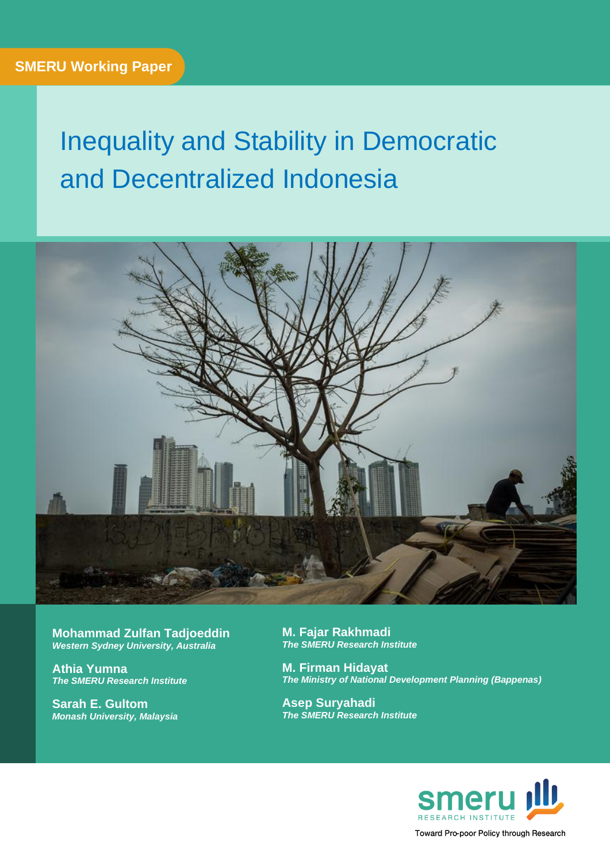# Inequality and Stability in Democratic and Decentralized Indonesia



**Mohammad Zulfan Tadjoeddin**  *Western Sydney University, Australia*

**Athia Yumna** *The SMERU Research Institute*

**Sarah E. Gultom** *Monash University, Malaysia* **M. Fajar Rakhmadi** *The SMERU Research Institute*

**M. Firman Hidayat** *The Ministry of National Development Planning (Bappenas)*

**Asep Suryahadi** *The SMERU Research Institute*



Toward Pro-poor Policy through Research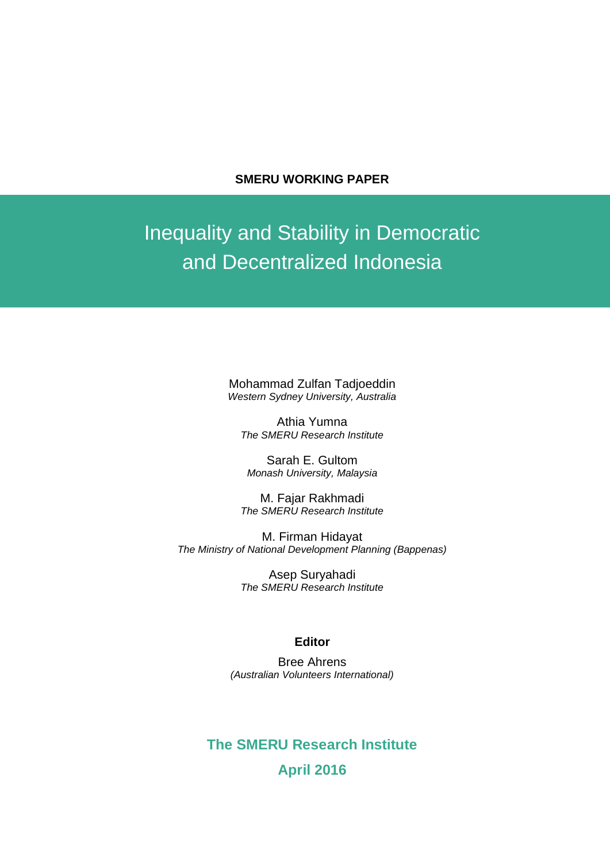#### **SMERU WORKING PAPER**

## Inequality and Stability in Democratic and Decentralized Indonesia

Mohammad Zulfan Tadjoeddin *Western Sydney University, Australia*

Athia Yumna *The SMERU Research Institute*

Sarah E. Gultom *Monash University, Malaysia*

M. Fajar Rakhmadi *The SMERU Research Institute*

M. Firman Hidayat *The Ministry of National Development Planning (Bappenas)*

> Asep Suryahadi *The SMERU Research Institute*

#### **Editor**

Bree Ahrens *(Australian Volunteers International)*

### **The SMERU Research Institute April 2016**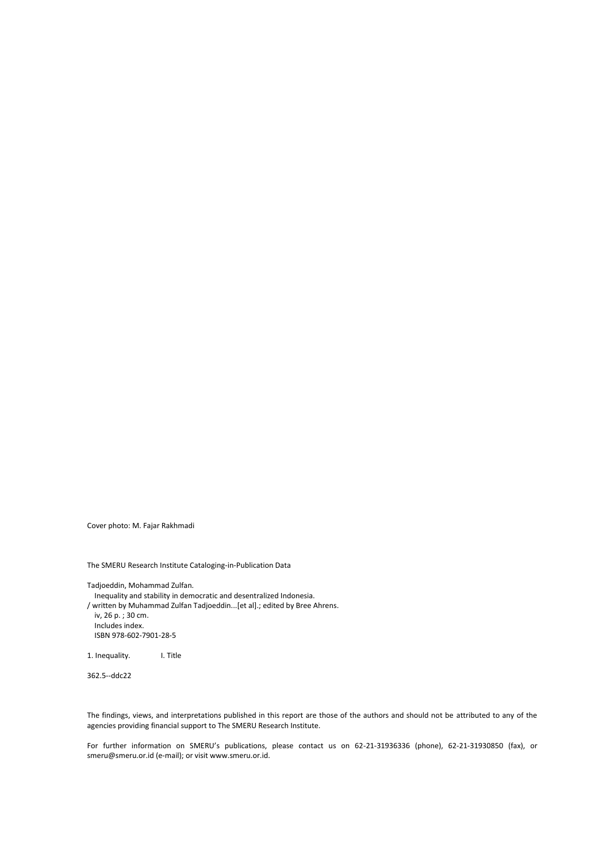Cover photo: M. Fajar Rakhmadi

The SMERU Research Institute Cataloging-in-Publication Data

Tadjoeddin, Mohammad Zulfan.

Inequality and stability in democratic and desentralized Indonesia.

/ written by Muhammad Zulfan Tadjoeddin...[et al].; edited by Bree Ahrens. iv, 26 p. ; 30 cm.

Includes index. ISBN 978-602-7901-28-5

1. Inequality. I. Title

362.5--ddc22

The findings, views, and interpretations published in this report are those of the authors and should not be attributed to any of the agencies providing financial support to The SMERU Research Institute.

For further information on SMERU's publications, please contact us on 62-21-31936336 (phone), 62-21-31930850 (fax), or smeru@smeru.or.id (e-mail); or visit www.smeru.or.id.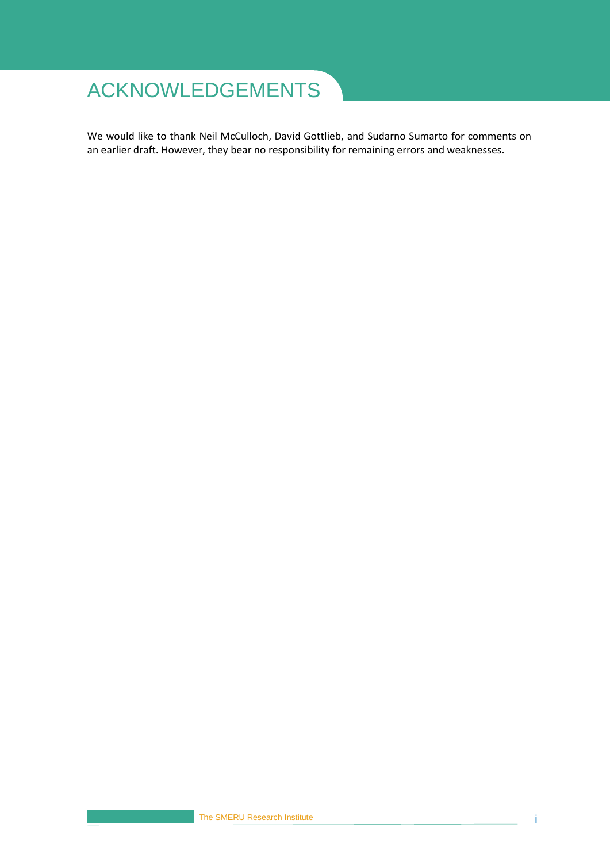## <span id="page-3-0"></span>ACKNOWLEDGEMENTS

We would like to thank Neil McCulloch, David Gottlieb, and Sudarno Sumarto for comments on an earlier draft. However, they bear no responsibility for remaining errors and weaknesses.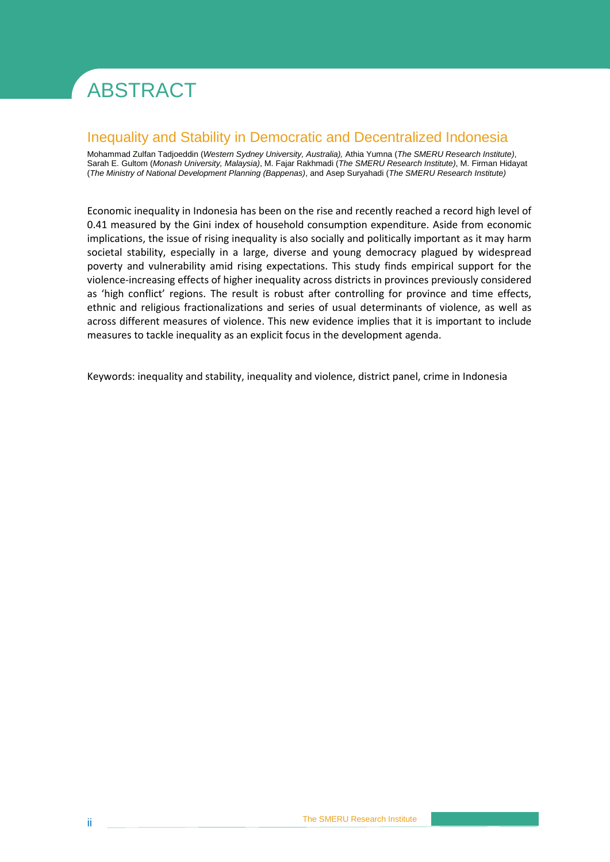# <span id="page-4-0"></span>ABSTRACT

### Inequality and Stability in Democratic and Decentralized Indonesia

Mohammad Zulfan Tadjoeddin (*Western Sydney University, Australia),* Athia Yumna (*The SMERU Research Institute)*, Sarah E. Gultom (*Monash University, Malaysia)*, M. Fajar Rakhmadi (*The SMERU Research Institute)*, M. Firman Hidayat (*The Ministry of National Development Planning (Bappenas)*, and Asep Suryahadi (*The SMERU Research Institute)*

Economic inequality in Indonesia has been on the rise and recently reached a record high level of 0.41 measured by the Gini index of household consumption expenditure. Aside from economic implications, the issue of rising inequality is also socially and politically important as it may harm societal stability, especially in a large, diverse and young democracy plagued by widespread poverty and vulnerability amid rising expectations. This study finds empirical support for the violence-increasing effects of higher inequality across districts in provinces previously considered as 'high conflict' regions. The result is robust after controlling for province and time effects, ethnic and religious fractionalizations and series of usual determinants of violence, as well as across different measures of violence. This new evidence implies that it is important to include measures to tackle inequality as an explicit focus in the development agenda.

Keywords: inequality and stability, inequality and violence, district panel, crime in Indonesia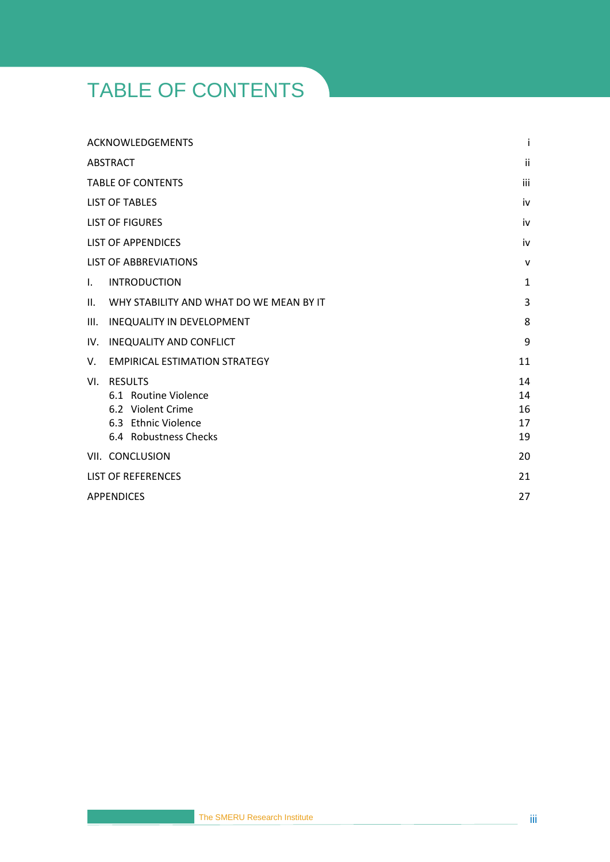## <span id="page-5-0"></span>TABLE OF CONTENTS

|      | <b>ACKNOWLEDGEMENTS</b>                                                                                     | i                          |
|------|-------------------------------------------------------------------------------------------------------------|----------------------------|
|      | ABSTRACT                                                                                                    | ii                         |
|      | <b>TABLE OF CONTENTS</b>                                                                                    | iii                        |
|      | <b>LIST OF TABLES</b>                                                                                       | iv                         |
|      | <b>LIST OF FIGURES</b>                                                                                      | iv                         |
|      | <b>LIST OF APPENDICES</b>                                                                                   | iv                         |
|      | <b>LIST OF ABBREVIATIONS</b>                                                                                | $\mathsf{v}$               |
| Τ.   | <b>INTRODUCTION</b>                                                                                         | $\mathbf{1}$               |
| II.  | WHY STABILITY AND WHAT DO WE MEAN BY IT                                                                     | 3                          |
| III. | <b>INEQUALITY IN DEVELOPMENT</b>                                                                            | 8                          |
| IV.  | <b>INEQUALITY AND CONFLICT</b>                                                                              | 9                          |
| V.   | <b>EMPIRICAL ESTIMATION STRATEGY</b>                                                                        | 11                         |
| VI.  | <b>RESULTS</b><br>6.1 Routine Violence<br>6.2 Violent Crime<br>6.3 Ethnic Violence<br>6.4 Robustness Checks | 14<br>14<br>16<br>17<br>19 |
|      | VII. CONCLUSION                                                                                             | 20                         |
|      | <b>LIST OF REFERENCES</b>                                                                                   | 21                         |
|      | <b>APPENDICES</b>                                                                                           | 27                         |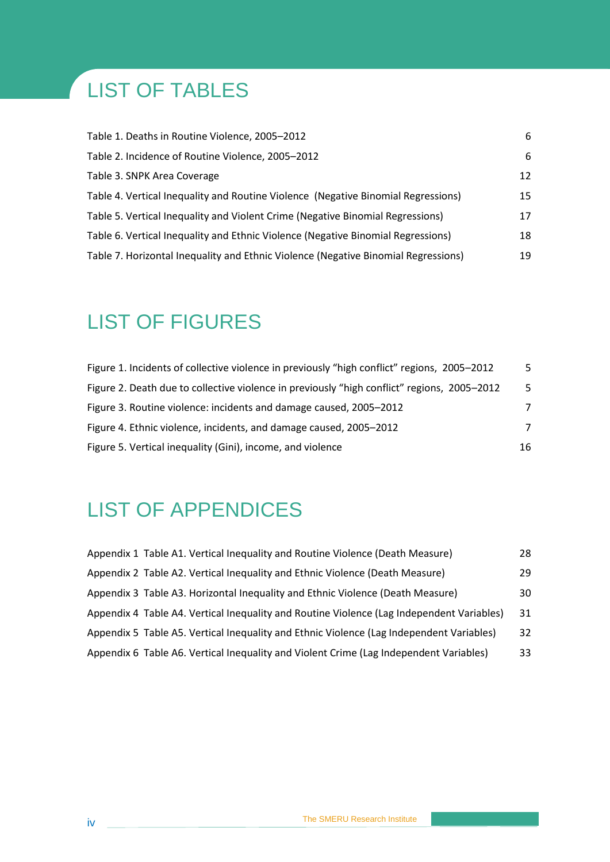## <span id="page-6-0"></span>LIST OF TABLES

| Table 1. Deaths in Routine Violence, 2005–2012                                     | 6  |
|------------------------------------------------------------------------------------|----|
| Table 2. Incidence of Routine Violence, 2005-2012                                  | 6  |
| Table 3. SNPK Area Coverage                                                        | 12 |
| Table 4. Vertical Inequality and Routine Violence (Negative Binomial Regressions)  | 15 |
| Table 5. Vertical Inequality and Violent Crime (Negative Binomial Regressions)     | 17 |
| Table 6. Vertical Inequality and Ethnic Violence (Negative Binomial Regressions)   | 18 |
| Table 7. Horizontal Inequality and Ethnic Violence (Negative Binomial Regressions) | 19 |

## <span id="page-6-1"></span>LIST OF FIGURES

| Figure 1. Incidents of collective violence in previously "high conflict" regions, 2005–2012 | 5. |
|---------------------------------------------------------------------------------------------|----|
| Figure 2. Death due to collective violence in previously "high conflict" regions, 2005-2012 | -5 |
| Figure 3. Routine violence: incidents and damage caused, 2005–2012                          | 7  |
| Figure 4. Ethnic violence, incidents, and damage caused, 2005–2012                          | 7  |
| Figure 5. Vertical inequality (Gini), income, and violence                                  | 16 |

## <span id="page-6-2"></span>LIST OF APPENDICES

| Appendix 1 Table A1. Vertical Inequality and Routine Violence (Death Measure)             | 28 |
|-------------------------------------------------------------------------------------------|----|
| Appendix 2 Table A2. Vertical Inequality and Ethnic Violence (Death Measure)              | 29 |
| Appendix 3 Table A3. Horizontal Inequality and Ethnic Violence (Death Measure)            | 30 |
| Appendix 4 Table A4. Vertical Inequality and Routine Violence (Lag Independent Variables) | 31 |
| Appendix 5 Table A5. Vertical Inequality and Ethnic Violence (Lag Independent Variables)  | 32 |
| Appendix 6 Table A6. Vertical Inequality and Violent Crime (Lag Independent Variables)    | 33 |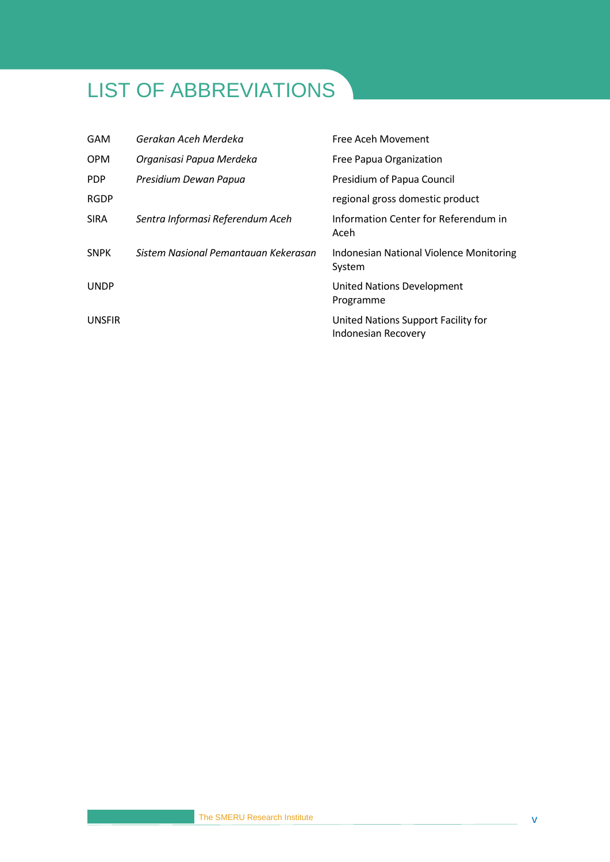## <span id="page-7-0"></span>LIST OF ABBREVIATIONS

| <b>GAM</b>    | Gerakan Aceh Merdeka                 | Free Aceh Movement                                         |
|---------------|--------------------------------------|------------------------------------------------------------|
| <b>OPM</b>    | Organisasi Papua Merdeka             | Free Papua Organization                                    |
| <b>PDP</b>    | Presidium Dewan Papua                | Presidium of Papua Council                                 |
| <b>RGDP</b>   |                                      | regional gross domestic product                            |
| <b>SIRA</b>   | Sentra Informasi Referendum Aceh     | Information Center for Referendum in<br>Aceh               |
| <b>SNPK</b>   | Sistem Nasional Pemantauan Kekerasan | Indonesian National Violence Monitoring<br>System          |
| <b>UNDP</b>   |                                      | United Nations Development<br>Programme                    |
| <b>UNSFIR</b> |                                      | United Nations Support Facility for<br>Indonesian Recovery |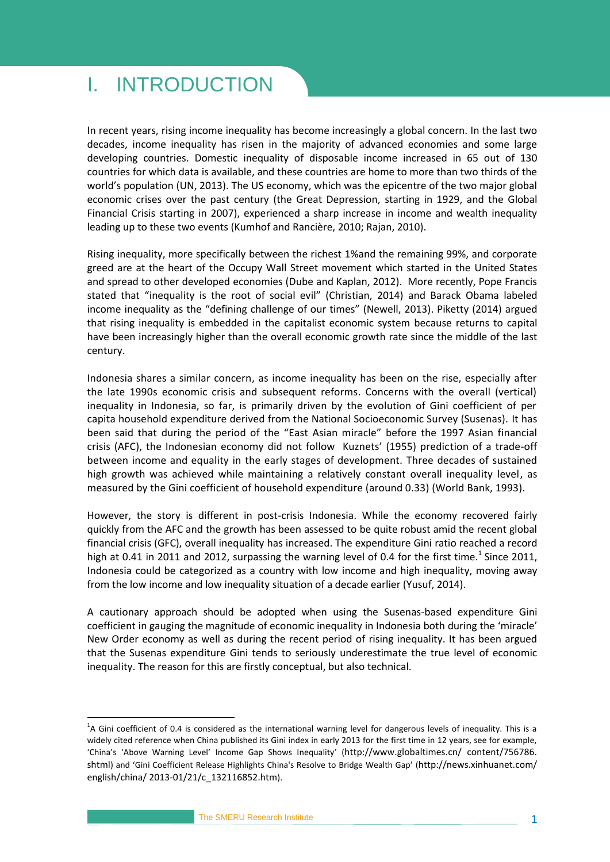### <span id="page-8-0"></span>I. INTRODUCTION

In recent years, rising income inequality has become increasingly a global concern. In the last two decades, income inequality has risen in the majority of advanced economies and some large developing countries. Domestic inequality of disposable income increased in 65 out of 130 countries for which data is available, and these countries are home to more than two thirds of the world's population (UN, 2013). The US economy, which was the epicentre of the two major global economic crises over the past century (the Great Depression, starting in 1929, and the Global Financial Crisis starting in 2007), experienced a sharp increase in income and wealth inequality leading up to these two events (Kumhof and Rancière, 2010; Rajan, 2010).

Rising inequality, more specifically between the richest 1%and the remaining 99%, and corporate greed are at the heart of the Occupy Wall Street movement which started in the United States and spread to other developed economies (Dube and Kaplan, 2012). More recently, Pope Francis stated that "inequality is the root of social evil" (Christian, 2014) and Barack Obama labeled income inequality as the "defining challenge of our times" (Newell, 2013). Piketty (2014) argued that rising inequality is embedded in the capitalist economic system because returns to capital have been increasingly higher than the overall economic growth rate since the middle of the last century.

Indonesia shares a similar concern, as income inequality has been on the rise, especially after the late 1990s economic crisis and subsequent reforms. Concerns with the overall (vertical) inequality in Indonesia, so far, is primarily driven by the evolution of Gini coefficient of per capita household expenditure derived from the National Socioeconomic Survey (Susenas). It has been said that during the period of the "East Asian miracle" before the 1997 Asian financial crisis (AFC), the Indonesian economy did not follow Kuznets' (1955) prediction of a trade-off between income and equality in the early stages of development. Three decades of sustained high growth was achieved while maintaining a relatively constant overall inequality level, as measured by the Gini coefficient of household expenditure (around 0.33) (World Bank, 1993).

However, the story is different in post-crisis Indonesia. While the economy recovered fairly quickly from the AFC and the growth has been assessed to be quite robust amid the recent global financial crisis (GFC), overall inequality has increased. The expenditure Gini ratio reached a record high at 0.41 in 2011 and 2012, surpassing the warning level of 0.4 for the first time.<sup>1</sup> Since 2011, Indonesia could be categorized as a country with low income and high inequality, moving away from the low income and low inequality situation of a decade earlier (Yusuf, 2014).

A cautionary approach should be adopted when using the Susenas-based expenditure Gini coefficient in gauging the magnitude of economic inequality in Indonesia both during the 'miracle' New Order economy as well as during the recent period of rising inequality. It has been argued that the Susenas expenditure Gini tends to seriously underestimate the true level of economic inequality. The reason for this are firstly conceptual, but also technical.

<u>.</u>

 $^{1}$ A Gini coefficient of 0.4 is considered as the international warning level for dangerous levels of inequality. This is a widely cited reference when China published its Gini index in early 2013 for the first time in 12 years, see for example, 'China's 'Above Warning Level' Income Gap Shows Inequality' (http://www.globaltimes.cn/ content/756786. shtml) and 'Gini Coefficient Release Highlights China's Resolve to Bridge Wealth Gap' (http://news.xinhuanet.com/ english/china/ 2013-01/21/c\_132116852.htm).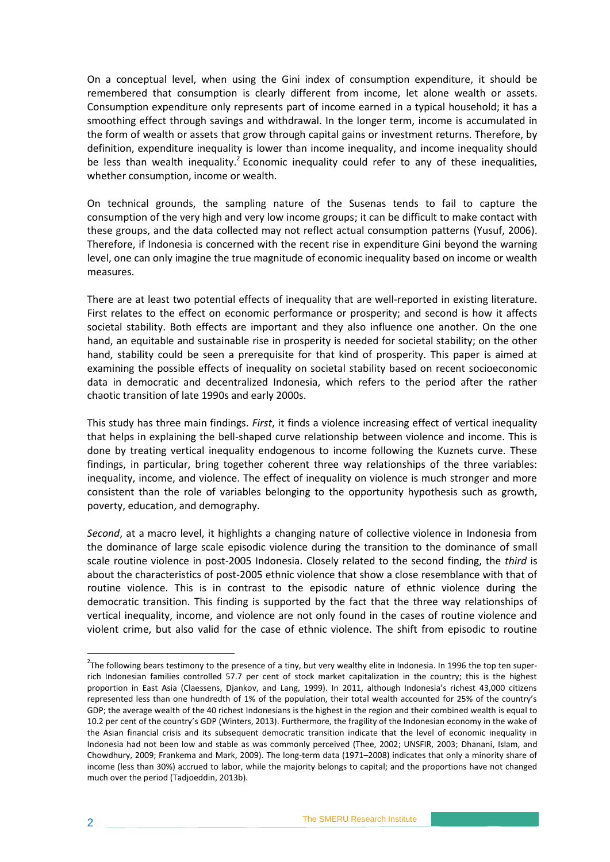On a conceptual level, when using the Gini index of consumption expenditure, it should be remembered that consumption is clearly different from income, let alone wealth or assets. Consumption expenditure only represents part of income earned in a typical household; it has a smoothing effect through savings and withdrawal. In the longer term, income is accumulated in the form of wealth or assets that grow through capital gains or investment returns. Therefore, by definition, expenditure inequality is lower than income inequality, and income inequality should be less than wealth inequality.<sup>2</sup> Economic inequality could refer to any of these inequalities, whether consumption, income or wealth.

On technical grounds, the sampling nature of the Susenas tends to fail to capture the consumption of the very high and very low income groups; it can be difficult to make contact with these groups, and the data collected may not reflect actual consumption patterns (Yusuf, 2006). Therefore, if Indonesia is concerned with the recent rise in expenditure Gini beyond the warning level, one can only imagine the true magnitude of economic inequality based on income or wealth measures.

There are at least two potential effects of inequality that are well-reported in existing literature. First relates to the effect on economic performance or prosperity; and second is how it affects societal stability. Both effects are important and they also influence one another. On the one hand, an equitable and sustainable rise in prosperity is needed for societal stability; on the other hand, stability could be seen a prerequisite for that kind of prosperity. This paper is aimed at examining the possible effects of inequality on societal stability based on recent socioeconomic data in democratic and decentralized Indonesia, which refers to the period after the rather chaotic transition of late 1990s and early 2000s.

This study has three main findings. *First*, it finds a violence increasing effect of vertical inequality that helps in explaining the bell-shaped curve relationship between violence and income. This is done by treating vertical inequality endogenous to income following the Kuznets curve. These findings, in particular, bring together coherent three way relationships of the three variables: inequality, income, and violence. The effect of inequality on violence is much stronger and more consistent than the role of variables belonging to the opportunity hypothesis such as growth, poverty, education, and demography.

*Second*, at a macro level, it highlights a changing nature of collective violence in Indonesia from the dominance of large scale episodic violence during the transition to the dominance of small scale routine violence in post-2005 Indonesia. Closely related to the second finding, the *third* is about the characteristics of post-2005 ethnic violence that show a close resemblance with that of routine violence. This is in contrast to the episodic nature of ethnic violence during the democratic transition. This finding is supported by the fact that the three way relationships of vertical inequality, income, and violence are not only found in the cases of routine violence and violent crime, but also valid for the case of ethnic violence. The shift from episodic to routine

1

 $2$ The following bears testimony to the presence of a tiny, but very wealthy elite in Indonesia. In 1996 the top ten superrich Indonesian families controlled 57.7 per cent of stock market capitalization in the country; this is the highest proportion in East Asia (Claessens, Djankov, and Lang, 1999). In 2011, although Indonesia's richest 43,000 citizens represented less than one hundredth of 1% of the population, their total wealth accounted for 25% of the country's GDP; the average wealth of the 40 richest Indonesians is the highest in the region and their combined wealth is equal to 10.2 per cent of the country's GDP (Winters, 2013). Furthermore, the fragility of the Indonesian economy in the wake of the Asian financial crisis and its subsequent democratic transition indicate that the level of economic inequality in Indonesia had not been low and stable as was commonly perceived (Thee, 2002; UNSFIR, 2003; Dhanani, Islam, and Chowdhury, 2009; Frankema and Mark, 2009). The long-term data (1971–2008) indicates that only a minority share of income (less than 30%) accrued to labor, while the majority belongs to capital; and the proportions have not changed much over the period (Tadjoeddin, 2013b).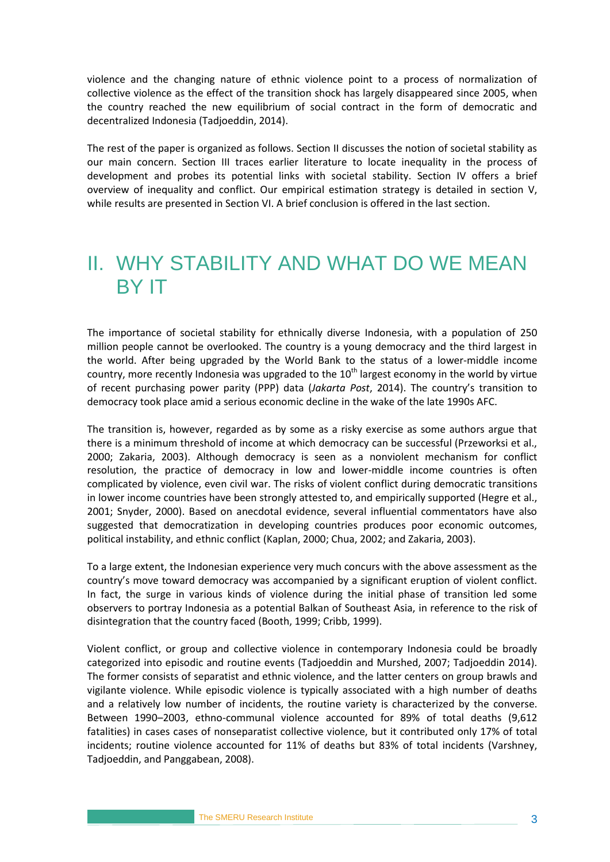violence and the changing nature of ethnic violence point to a process of normalization of collective violence as the effect of the transition shock has largely disappeared since 2005, when the country reached the new equilibrium of social contract in the form of democratic and decentralized Indonesia (Tadjoeddin, 2014).

The rest of the paper is organized as follows. Section II discusses the notion of societal stability as our main concern. Section III traces earlier literature to locate inequality in the process of development and probes its potential links with societal stability. Section IV offers a brief overview of inequality and conflict. Our empirical estimation strategy is detailed in section V, while results are presented in Section VI. A brief conclusion is offered in the last section.

## <span id="page-10-0"></span>II. WHY STABILITY AND WHAT DO WE MEAN BY IT

The importance of societal stability for ethnically diverse Indonesia, with a population of 250 million people cannot be overlooked. The country is a young democracy and the third largest in the world. After being upgraded by the World Bank to the status of a lower-middle income country, more recently Indonesia was upgraded to the  $10<sup>th</sup>$  largest economy in the world by virtue of recent purchasing power parity (PPP) data (*Jakarta Post*, 2014). The country's transition to democracy took place amid a serious economic decline in the wake of the late 1990s AFC.

The transition is, however, regarded as by some as a risky exercise as some authors argue that there is a minimum threshold of income at which democracy can be successful (Przeworksi et al., 2000; Zakaria, 2003). Although democracy is seen as a nonviolent mechanism for conflict resolution, the practice of democracy in low and lower-middle income countries is often complicated by violence, even civil war. The risks of violent conflict during democratic transitions in lower income countries have been strongly attested to, and empirically supported (Hegre et al., 2001; Snyder, 2000). Based on anecdotal evidence, several influential commentators have also suggested that democratization in developing countries produces poor economic outcomes, political instability, and ethnic conflict (Kaplan, 2000; Chua, 2002; and Zakaria, 2003).

To a large extent, the Indonesian experience very much concurs with the above assessment as the country's move toward democracy was accompanied by a significant eruption of violent conflict. In fact, the surge in various kinds of violence during the initial phase of transition led some observers to portray Indonesia as a potential Balkan of Southeast Asia, in reference to the risk of disintegration that the country faced (Booth, 1999; Cribb, 1999).

Violent conflict, or group and collective violence in contemporary Indonesia could be broadly categorized into episodic and routine events (Tadjoeddin and Murshed, 2007; Tadjoeddin 2014). The former consists of separatist and ethnic violence, and the latter centers on group brawls and vigilante violence. While episodic violence is typically associated with a high number of deaths and a relatively low number of incidents, the routine variety is characterized by the converse. Between 1990–2003, ethno-communal violence accounted for 89% of total deaths (9,612 fatalities) in cases cases of nonseparatist collective violence, but it contributed only 17% of total incidents; routine violence accounted for 11% of deaths but 83% of total incidents (Varshney, Tadjoeddin, and Panggabean, 2008).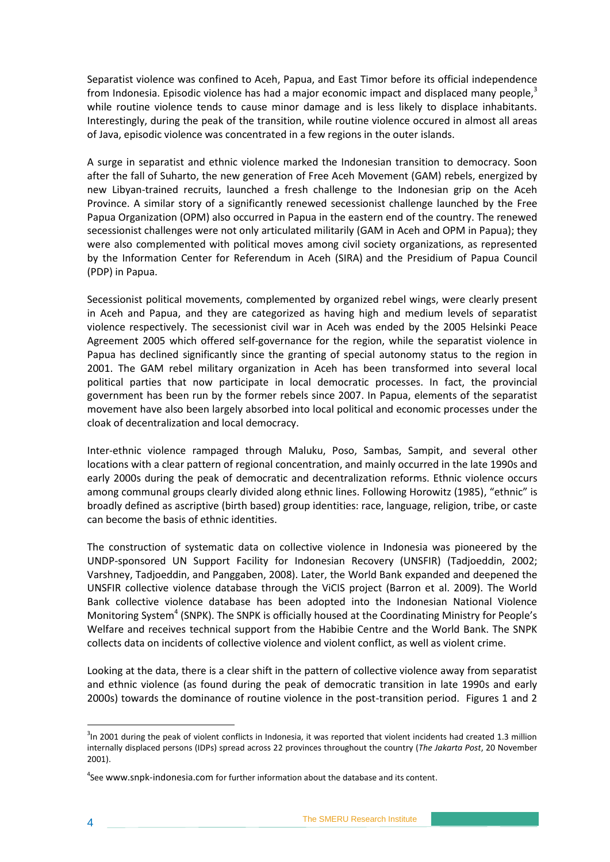Separatist violence was confined to Aceh, Papua, and East Timor before its official independence from Indonesia. Episodic violence has had a major economic impact and displaced many people,<sup>3</sup> while routine violence tends to cause minor damage and is less likely to displace inhabitants. Interestingly, during the peak of the transition, while routine violence occured in almost all areas of Java, episodic violence was concentrated in a few regions in the outer islands.

A surge in separatist and ethnic violence marked the Indonesian transition to democracy. Soon after the fall of Suharto, the new generation of Free Aceh Movement (GAM) rebels, energized by new Libyan-trained recruits, launched a fresh challenge to the Indonesian grip on the Aceh Province. A similar story of a significantly renewed secessionist challenge launched by the Free Papua Organization (OPM) also occurred in Papua in the eastern end of the country. The renewed secessionist challenges were not only articulated militarily (GAM in Aceh and OPM in Papua); they were also complemented with political moves among civil society organizations, as represented by the Information Center for Referendum in Aceh (SIRA) and the Presidium of Papua Council (PDP) in Papua.

Secessionist political movements, complemented by organized rebel wings, were clearly present in Aceh and Papua, and they are categorized as having high and medium levels of separatist violence respectively. The secessionist civil war in Aceh was ended by the 2005 Helsinki Peace Agreement 2005 which offered self-governance for the region, while the separatist violence in Papua has declined significantly since the granting of special autonomy status to the region in 2001. The GAM rebel military organization in Aceh has been transformed into several local political parties that now participate in local democratic processes. In fact, the provincial government has been run by the former rebels since 2007. In Papua, elements of the separatist movement have also been largely absorbed into local political and economic processes under the cloak of decentralization and local democracy.

Inter-ethnic violence rampaged through Maluku, Poso, Sambas, Sampit, and several other locations with a clear pattern of regional concentration, and mainly occurred in the late 1990s and early 2000s during the peak of democratic and decentralization reforms. Ethnic violence occurs among communal groups clearly divided along ethnic lines. Following Horowitz (1985), "ethnic" is broadly defined as ascriptive (birth based) group identities: race, language, religion, tribe, or caste can become the basis of ethnic identities.

The construction of systematic data on collective violence in Indonesia was pioneered by the UNDP-sponsored UN Support Facility for Indonesian Recovery (UNSFIR) (Tadjoeddin, 2002; Varshney, Tadjoeddin, and Panggaben, 2008). Later, the World Bank expanded and deepened the UNSFIR collective violence database through the ViCIS project (Barron et al. 2009). The World Bank collective violence database has been adopted into the Indonesian National Violence Monitoring System<sup>4</sup> (SNPK). The SNPK is officially housed at the Coordinating Ministry for People's Welfare and receives technical support from the Habibie Centre and the World Bank. The SNPK collects data on incidents of collective violence and violent conflict, as well as violent crime.

Looking at the data, there is a clear shift in the pattern of collective violence away from separatist and ethnic violence (as found during the peak of democratic transition in late 1990s and early 2000s) towards the dominance of routine violence in the post-transition period. Figures 1 and 2

1

 $3$ In 2001 during the peak of violent conflicts in Indonesia, it was reported that violent incidents had created 1.3 million internally displaced persons (IDPs) spread across 22 provinces throughout the country (*The Jakarta Post*, 20 November 2001).

<sup>&</sup>lt;sup>4</sup>See www.snpk-indonesia.com for further information about the database and its content.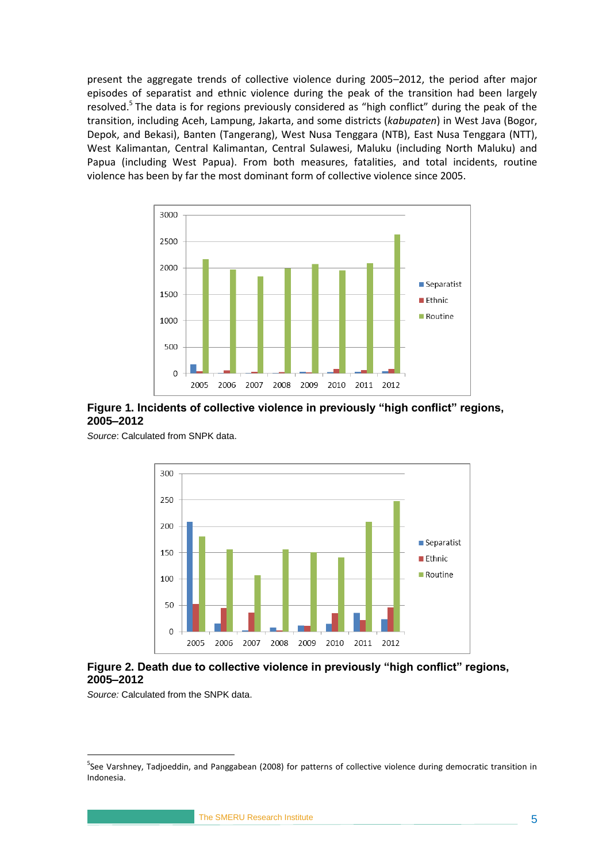present the aggregate trends of collective violence during 2005–2012, the period after major episodes of separatist and ethnic violence during the peak of the transition had been largely resolved.<sup>5</sup> The data is for regions previously considered as "high conflict" during the peak of the transition, including Aceh, Lampung, Jakarta, and some districts (*kabupaten*) in West Java (Bogor, Depok, and Bekasi), Banten (Tangerang), West Nusa Tenggara (NTB), East Nusa Tenggara (NTT), West Kalimantan, Central Kalimantan, Central Sulawesi, Maluku (including North Maluku) and Papua (including West Papua). From both measures, fatalities, and total incidents, routine violence has been by far the most dominant form of collective violence since 2005.



#### <span id="page-12-0"></span>**Figure 1. Incidents of collective violence in previously "high conflict" regions, 2005–2012**

*Source*: Calculated from SNPK data.



#### <span id="page-12-1"></span>**Figure 2. Death due to collective violence in previously "high conflict" regions, 2005–2012**

*Source:* Calculated from the SNPK data.

1

<sup>&</sup>lt;sup>5</sup>See Varshney, Tadjoeddin, and Panggabean (2008) for patterns of collective violence during democratic transition in Indonesia.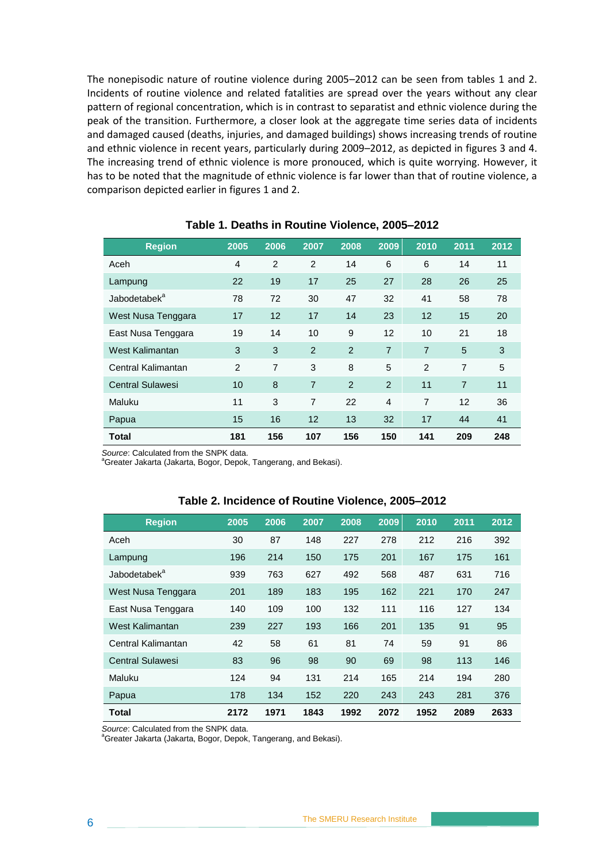The nonepisodic nature of routine violence during 2005–2012 can be seen from tables 1 and 2. Incidents of routine violence and related fatalities are spread over the years without any clear pattern of regional concentration, which is in contrast to separatist and ethnic violence during the peak of the transition. Furthermore, a closer look at the aggregate time series data of incidents and damaged caused (deaths, injuries, and damaged buildings) shows increasing trends of routine and ethnic violence in recent years, particularly during 2009–2012, as depicted in figures 3 and 4. The increasing trend of ethnic violence is more pronouced, which is quite worrying. However, it has to be noted that the magnitude of ethnic violence is far lower than that of routine violence, a comparison depicted earlier in figures 1 and 2.

<span id="page-13-0"></span>

| <b>Region</b>            | 2005           | 2006           | 2007           | 2008           | 2009           | 2010           | 2011           | 2012 |
|--------------------------|----------------|----------------|----------------|----------------|----------------|----------------|----------------|------|
| Aceh                     | $\overline{4}$ | 2              | 2              | 14             | 6              | 6              | 14             | 11   |
| Lampung                  | 22             | 19             | 17             | 25             | 27             | 28             | 26             | 25   |
| Jabodetabek <sup>a</sup> | 78             | 72             | 30             | 47             | 32             | 41             | 58             | 78   |
| West Nusa Tenggara       | 17             | 12             | 17             | 14             | 23             | 12             | 15             | 20   |
| East Nusa Tenggara       | 19             | 14             | 10             | 9              | 12             | 10             | 21             | 18   |
| West Kalimantan          | 3              | 3              | 2              | 2              | $\overline{7}$ | $\overline{7}$ | 5              | 3    |
| Central Kalimantan       | 2              | $\overline{7}$ | 3              | 8              | 5              | 2              | $\overline{7}$ | 5    |
| <b>Central Sulawesi</b>  | 10             | 8              | $\overline{7}$ | $\overline{2}$ | 2              | 11             | $\overline{7}$ | 11   |
| Maluku                   | 11             | 3              | 7              | 22             | $\overline{4}$ | $\overline{7}$ | 12             | 36   |
| Papua                    | 15             | 16             | 12             | 13             | 32             | 17             | 44             | 41   |
| Total                    | 181            | 156            | 107            | 156            | 150            | 141            | 209            | 248  |

#### **Table 1. Deaths in Routine Violence, 2005–2012**

*Source*: Calculated from the SNPK data.

<sup>a</sup>Greater Jakarta (Jakarta, Bogor, Depok, Tangerang, and Bekasi).

<span id="page-13-1"></span>

| <b>Region</b>            | 2005 | 2006 | 2007 | 2008 | 2009 | 2010 | 2011 | 2012 |
|--------------------------|------|------|------|------|------|------|------|------|
| Aceh                     | 30   | 87   | 148  | 227  | 278  | 212  | 216  | 392  |
| Lampung                  | 196  | 214  | 150  | 175  | 201  | 167  | 175  | 161  |
| Jabodetabek <sup>a</sup> | 939  | 763  | 627  | 492  | 568  | 487  | 631  | 716  |
| West Nusa Tenggara       | 201  | 189  | 183  | 195  | 162  | 221  | 170  | 247  |
| East Nusa Tenggara       | 140  | 109  | 100  | 132  | 111  | 116  | 127  | 134  |
| West Kalimantan          | 239  | 227  | 193  | 166  | 201  | 135  | 91   | 95   |
| Central Kalimantan       | 42   | 58   | 61   | 81   | 74   | 59   | 91   | 86   |
| <b>Central Sulawesi</b>  | 83   | 96   | 98   | 90   | 69   | 98   | 113  | 146  |
| Maluku                   | 124  | 94   | 131  | 214  | 165  | 214  | 194  | 280  |
| Papua                    | 178  | 134  | 152  | 220  | 243  | 243  | 281  | 376  |
| <b>Total</b>             | 2172 | 1971 | 1843 | 1992 | 2072 | 1952 | 2089 | 2633 |

#### **Table 2. Incidence of Routine Violence, 2005–2012**

*Source*: Calculated from the SNPK data.

<sup>a</sup>Greater Jakarta (Jakarta, Bogor, Depok, Tangerang, and Bekasi).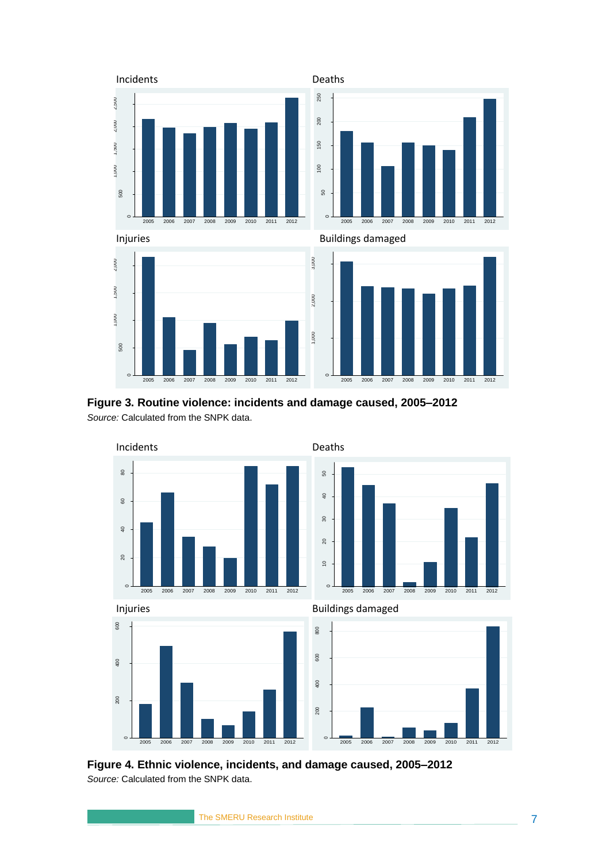

<span id="page-14-0"></span>**Figure 3. Routine violence: incidents and damage caused, 2005–2012** *Source:* Calculated from the SNPK data.



<span id="page-14-1"></span>**Figure 4. Ethnic violence, incidents, and damage caused, 2005–2012** *Source:* Calculated from the SNPK data.

The SMERU Research Institute 7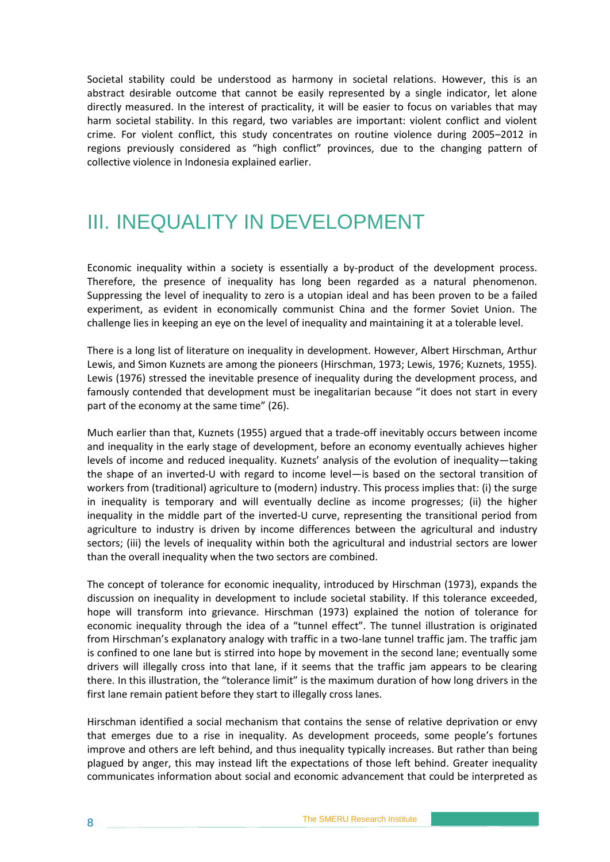Societal stability could be understood as harmony in societal relations. However, this is an abstract desirable outcome that cannot be easily represented by a single indicator, let alone directly measured. In the interest of practicality, it will be easier to focus on variables that may harm societal stability. In this regard, two variables are important: violent conflict and violent crime. For violent conflict, this study concentrates on routine violence during 2005–2012 in regions previously considered as "high conflict" provinces, due to the changing pattern of collective violence in Indonesia explained earlier.

## <span id="page-15-0"></span>III. INEQUALITY IN DEVELOPMENT

Economic inequality within a society is essentially a by-product of the development process. Therefore, the presence of inequality has long been regarded as a natural phenomenon. Suppressing the level of inequality to zero is a utopian ideal and has been proven to be a failed experiment, as evident in economically communist China and the former Soviet Union. The challenge lies in keeping an eye on the level of inequality and maintaining it at a tolerable level.

There is a long list of literature on inequality in development. However, Albert Hirschman, Arthur Lewis, and Simon Kuznets are among the pioneers (Hirschman, 1973; Lewis, 1976; Kuznets, 1955). Lewis (1976) stressed the inevitable presence of inequality during the development process, and famously contended that development must be inegalitarian because "it does not start in every part of the economy at the same time" (26).

Much earlier than that, Kuznets (1955) argued that a trade-off inevitably occurs between income and inequality in the early stage of development, before an economy eventually achieves higher levels of income and reduced inequality. Kuznets' analysis of the evolution of inequality—taking the shape of an inverted-U with regard to income level—is based on the sectoral transition of workers from (traditional) agriculture to (modern) industry. This process implies that: (i) the surge in inequality is temporary and will eventually decline as income progresses; (ii) the higher inequality in the middle part of the inverted-U curve, representing the transitional period from agriculture to industry is driven by income differences between the agricultural and industry sectors; (iii) the levels of inequality within both the agricultural and industrial sectors are lower than the overall inequality when the two sectors are combined.

The concept of tolerance for economic inequality, introduced by Hirschman (1973), expands the discussion on inequality in development to include societal stability. If this tolerance exceeded, hope will transform into grievance. Hirschman (1973) explained the notion of tolerance for economic inequality through the idea of a "tunnel effect". The tunnel illustration is originated from Hirschman's explanatory analogy with traffic in a two-lane tunnel traffic jam. The traffic jam is confined to one lane but is stirred into hope by movement in the second lane; eventually some drivers will illegally cross into that lane, if it seems that the traffic jam appears to be clearing there. In this illustration, the "tolerance limit" is the maximum duration of how long drivers in the first lane remain patient before they start to illegally cross lanes.

Hirschman identified a social mechanism that contains the sense of relative deprivation or envy that emerges due to a rise in inequality. As development proceeds, some people's fortunes improve and others are left behind, and thus inequality typically increases. But rather than being plagued by anger, this may instead lift the expectations of those left behind. Greater inequality communicates information about social and economic advancement that could be interpreted as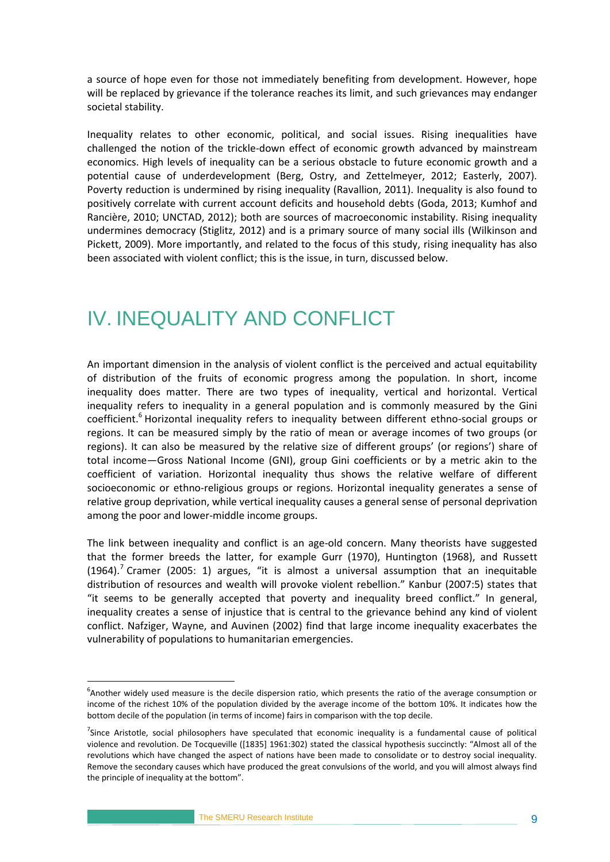a source of hope even for those not immediately benefiting from development. However, hope will be replaced by grievance if the tolerance reaches its limit, and such grievances may endanger societal stability.

Inequality relates to other economic, political, and social issues. Rising inequalities have challenged the notion of the trickle-down effect of economic growth advanced by mainstream economics. High levels of inequality can be a serious obstacle to future economic growth and a potential cause of underdevelopment (Berg, Ostry, and Zettelmeyer, 2012; Easterly, 2007). Poverty reduction is undermined by rising inequality (Ravallion, 2011). Inequality is also found to positively correlate with current account deficits and household debts (Goda, 2013; Kumhof and Rancière, 2010; UNCTAD, 2012); both are sources of macroeconomic instability. Rising inequality undermines democracy (Stiglitz, 2012) and is a primary source of many social ills (Wilkinson and Pickett, 2009). More importantly, and related to the focus of this study, rising inequality has also been associated with violent conflict; this is the issue, in turn, discussed below.

## <span id="page-16-0"></span>IV. INEQUALITY AND CONFLICT

An important dimension in the analysis of violent conflict is the perceived and actual equitability of distribution of the fruits of economic progress among the population. In short, income inequality does matter. There are two types of inequality, vertical and horizontal. Vertical inequality refers to inequality in a general population and is commonly measured by the Gini coefficient.<sup>6</sup> Horizontal inequality refers to inequality between different ethno-social groups or regions. It can be measured simply by the ratio of mean or average incomes of two groups (or regions). It can also be measured by the relative size of different groups' (or regions') share of total income—Gross National Income (GNI), group Gini coefficients or by a metric akin to the coefficient of variation. Horizontal inequality thus shows the relative welfare of different socioeconomic or ethno-religious groups or regions. Horizontal inequality generates a sense of relative group deprivation, while vertical inequality causes a general sense of personal deprivation among the poor and lower-middle income groups.

The link between inequality and conflict is an age-old concern. Many theorists have suggested that the former breeds the latter, for example Gurr (1970), Huntington (1968), and Russett  $(1964).$ <sup>7</sup> Cramer (2005: 1) argues, "it is almost a universal assumption that an inequitable distribution of resources and wealth will provoke violent rebellion." Kanbur (2007:5) states that "it seems to be generally accepted that poverty and inequality breed conflict." In general, inequality creates a sense of injustice that is central to the grievance behind any kind of violent conflict. Nafziger, Wayne, and Auvinen (2002) find that large income inequality exacerbates the vulnerability of populations to humanitarian emergencies.

<u>.</u>

<sup>&</sup>lt;sup>6</sup>Another widely used measure is the decile dispersion ratio, which presents the ratio of the average consumption or income of the richest 10% of the population divided by the average income of the bottom 10%. It indicates how the bottom decile of the population (in terms of income) fairs in comparison with the top decile.

<sup>&</sup>lt;sup>7</sup>Since Aristotle, social philosophers have speculated that economic inequality is a fundamental cause of political violence and revolution. De Tocqueville ([1835] 1961:302) stated the classical hypothesis succinctly: "Almost all of the revolutions which have changed the aspect of nations have been made to consolidate or to destroy social inequality. Remove the secondary causes which have produced the great convulsions of the world, and you will almost always find the principle of inequality at the bottom".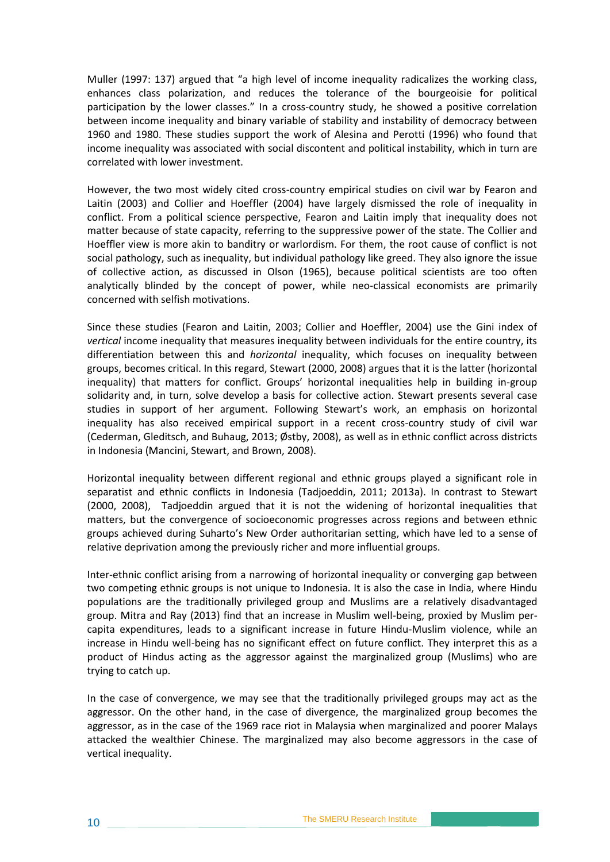Muller (1997: 137) argued that "a high level of income inequality radicalizes the working class, enhances class polarization, and reduces the tolerance of the bourgeoisie for political participation by the lower classes." In a cross-country study, he showed a positive correlation between income inequality and binary variable of stability and instability of democracy between 1960 and 1980. These studies support the work of Alesina and Perotti (1996) who found that income inequality was associated with social discontent and political instability, which in turn are correlated with lower investment.

However, the two most widely cited cross-country empirical studies on civil war by Fearon and Laitin (2003) and Collier and Hoeffler (2004) have largely dismissed the role of inequality in conflict. From a political science perspective, Fearon and Laitin imply that inequality does not matter because of state capacity, referring to the suppressive power of the state. The Collier and Hoeffler view is more akin to banditry or warlordism. For them, the root cause of conflict is not social pathology, such as inequality, but individual pathology like greed. They also ignore the issue of collective action, as discussed in Olson (1965), because political scientists are too often analytically blinded by the concept of power, while neo-classical economists are primarily concerned with selfish motivations.

Since these studies (Fearon and Laitin, 2003; Collier and Hoeffler, 2004) use the Gini index of *vertical* income inequality that measures inequality between individuals for the entire country, its differentiation between this and *horizontal* inequality, which focuses on inequality between groups, becomes critical. In this regard, Stewart (2000, 2008) argues that it is the latter (horizontal inequality) that matters for conflict. Groups' horizontal inequalities help in building in-group solidarity and, in turn, solve develop a basis for collective action. Stewart presents several case studies in support of her argument. Following Stewart's work, an emphasis on horizontal inequality has also received empirical support in a recent cross-country study of civil war (Cederman, Gleditsch, and Buhaug, 2013; Østby, 2008), as well as in ethnic conflict across districts in Indonesia (Mancini, Stewart, and Brown, 2008).

Horizontal inequality between different regional and ethnic groups played a significant role in separatist and ethnic conflicts in Indonesia (Tadjoeddin, 2011; 2013a). In contrast to Stewart (2000, 2008), Tadjoeddin argued that it is not the widening of horizontal inequalities that matters, but the convergence of socioeconomic progresses across regions and between ethnic groups achieved during Suharto's New Order authoritarian setting, which have led to a sense of relative deprivation among the previously richer and more influential groups.

Inter-ethnic conflict arising from a narrowing of horizontal inequality or converging gap between two competing ethnic groups is not unique to Indonesia. It is also the case in India, where Hindu populations are the traditionally privileged group and Muslims are a relatively disadvantaged group. Mitra and Ray (2013) find that an increase in Muslim well-being, proxied by Muslim percapita expenditures, leads to a significant increase in future Hindu-Muslim violence, while an increase in Hindu well-being has no significant effect on future conflict. They interpret this as a product of Hindus acting as the aggressor against the marginalized group (Muslims) who are trying to catch up.

In the case of convergence, we may see that the traditionally privileged groups may act as the aggressor. On the other hand, in the case of divergence, the marginalized group becomes the aggressor, as in the case of the 1969 race riot in Malaysia when marginalized and poorer Malays attacked the wealthier Chinese. The marginalized may also become aggressors in the case of vertical inequality.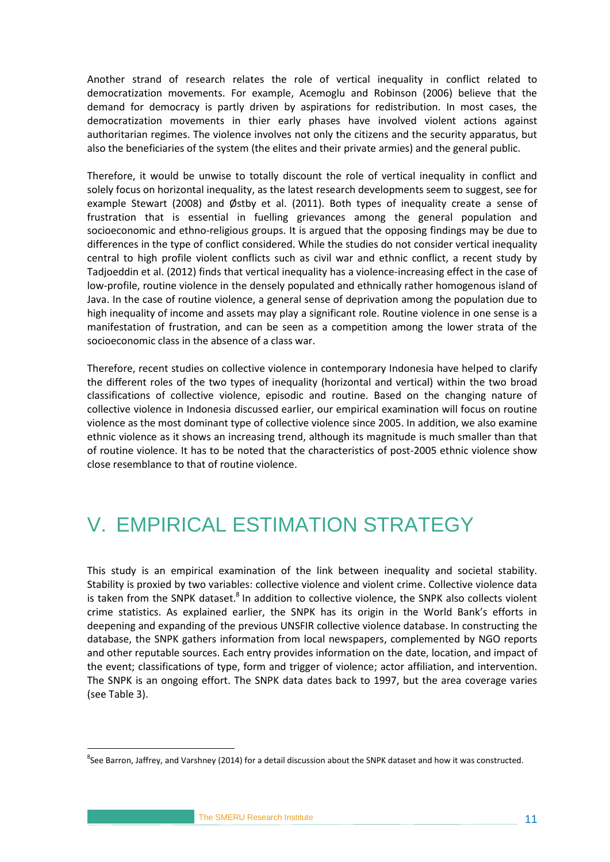Another strand of research relates the role of vertical inequality in conflict related to democratization movements. For example, Acemoglu and Robinson (2006) believe that the demand for democracy is partly driven by aspirations for redistribution. In most cases, the democratization movements in thier early phases have involved violent actions against authoritarian regimes. The violence involves not only the citizens and the security apparatus, but also the beneficiaries of the system (the elites and their private armies) and the general public.

Therefore, it would be unwise to totally discount the role of vertical inequality in conflict and solely focus on horizontal inequality, as the latest research developments seem to suggest, see for example Stewart (2008) and Østby et al. (2011). Both types of inequality create a sense of frustration that is essential in fuelling grievances among the general population and socioeconomic and ethno-religious groups. It is argued that the opposing findings may be due to differences in the type of conflict considered. While the studies do not consider vertical inequality central to high profile violent conflicts such as civil war and ethnic conflict, a recent study by Tadjoeddin et al. (2012) finds that vertical inequality has a violence-increasing effect in the case of low-profile, routine violence in the densely populated and ethnically rather homogenous island of Java. In the case of routine violence, a general sense of deprivation among the population due to high inequality of income and assets may play a significant role. Routine violence in one sense is a manifestation of frustration, and can be seen as a competition among the lower strata of the socioeconomic class in the absence of a class war.

Therefore, recent studies on collective violence in contemporary Indonesia have helped to clarify the different roles of the two types of inequality (horizontal and vertical) within the two broad classifications of collective violence, episodic and routine. Based on the changing nature of collective violence in Indonesia discussed earlier, our empirical examination will focus on routine violence as the most dominant type of collective violence since 2005. In addition, we also examine ethnic violence as it shows an increasing trend, although its magnitude is much smaller than that of routine violence. It has to be noted that the characteristics of post-2005 ethnic violence show close resemblance to that of routine violence.

## <span id="page-18-0"></span>V. EMPIRICAL ESTIMATION STRATEGY

This study is an empirical examination of the link between inequality and societal stability. Stability is proxied by two variables: collective violence and violent crime. Collective violence data is taken from the SNPK dataset.<sup>8</sup> In addition to collective violence, the SNPK also collects violent crime statistics. As explained earlier, the SNPK has its origin in the World Bank's efforts in deepening and expanding of the previous UNSFIR collective violence database. In constructing the database, the SNPK gathers information from local newspapers, complemented by NGO reports and other reputable sources. Each entry provides information on the date, location, and impact of the event; classifications of type, form and trigger of violence; actor affiliation, and intervention. The SNPK is an ongoing effort. The SNPK data dates back to 1997, but the area coverage varies (see Table 3).

1

<sup>&</sup>lt;sup>8</sup>See Barron, Jaffrey, and Varshney (2014) for a detail discussion about the SNPK dataset and how it was constructed.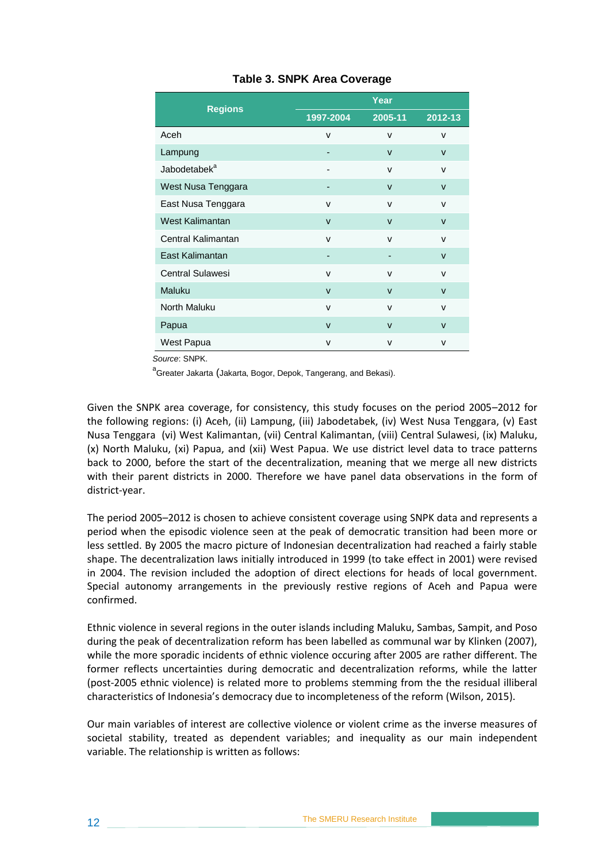<span id="page-19-0"></span>

| <b>Regions</b>           | 1997-2004    | 2005-11      | 2012-13      |
|--------------------------|--------------|--------------|--------------|
| Aceh                     | $\vee$       | $\vee$       | v            |
| Lampung                  |              | $\mathsf{V}$ | $\mathsf{V}$ |
| Jabodetabek <sup>a</sup> |              | $\vee$       | v            |
| West Nusa Tenggara       |              | $\vee$       | $\mathsf{v}$ |
| East Nusa Tenggara       | $\mathsf{v}$ | $\vee$       | $\mathsf{v}$ |
| West Kalimantan          | $\mathsf{V}$ | $\vee$       | $\mathsf{v}$ |
| Central Kalimantan       | $\mathsf{v}$ | $\mathsf{v}$ | v            |
| East Kalimantan          | -            | -            | $\mathsf{V}$ |
| <b>Central Sulawesi</b>  | $\mathsf{v}$ | $\vee$       | v            |
| Maluku                   | $\vee$       | $\mathsf{V}$ | $\mathsf{V}$ |
| North Maluku             | $\mathsf{v}$ | $\vee$       | v            |
| Papua                    | $\mathsf{V}$ | $\vee$       | $\mathsf{v}$ |
| West Papua               | $\mathsf{v}$ | $\vee$       | v            |

#### **Table 3. SNPK Area Coverage**

*Source*: SNPK.

a<br><sup>a</sup>Greater Jakarta (Jakarta, Bogor, Depok, Tangerang, and Bekasi).

Given the SNPK area coverage, for consistency, this study focuses on the period 2005–2012 for the following regions: (i) Aceh, (ii) Lampung, (iii) Jabodetabek, (iv) West Nusa Tenggara, (v) East Nusa Tenggara (vi) West Kalimantan, (vii) Central Kalimantan, (viii) Central Sulawesi, (ix) Maluku, (x) North Maluku, (xi) Papua, and (xii) West Papua. We use district level data to trace patterns back to 2000, before the start of the decentralization, meaning that we merge all new districts with their parent districts in 2000. Therefore we have panel data observations in the form of district-year.

The period 2005–2012 is chosen to achieve consistent coverage using SNPK data and represents a period when the episodic violence seen at the peak of democratic transition had been more or less settled. By 2005 the macro picture of Indonesian decentralization had reached a fairly stable shape. The decentralization laws initially introduced in 1999 (to take effect in 2001) were revised in 2004. The revision included the adoption of direct elections for heads of local government. Special autonomy arrangements in the previously restive regions of Aceh and Papua were confirmed.

Ethnic violence in several regions in the outer islands including Maluku, Sambas, Sampit, and Poso during the peak of decentralization reform has been labelled as communal war by Klinken (2007), while the more sporadic incidents of ethnic violence occuring after 2005 are rather different. The former reflects uncertainties during democratic and decentralization reforms, while the latter (post-2005 ethnic violence) is related more to problems stemming from the the residual illiberal characteristics of Indonesia's democracy due to incompleteness of the reform (Wilson, 2015).

Our main variables of interest are collective violence or violent crime as the inverse measures of societal stability, treated as dependent variables; and inequality as our main independent variable. The relationship is written as follows: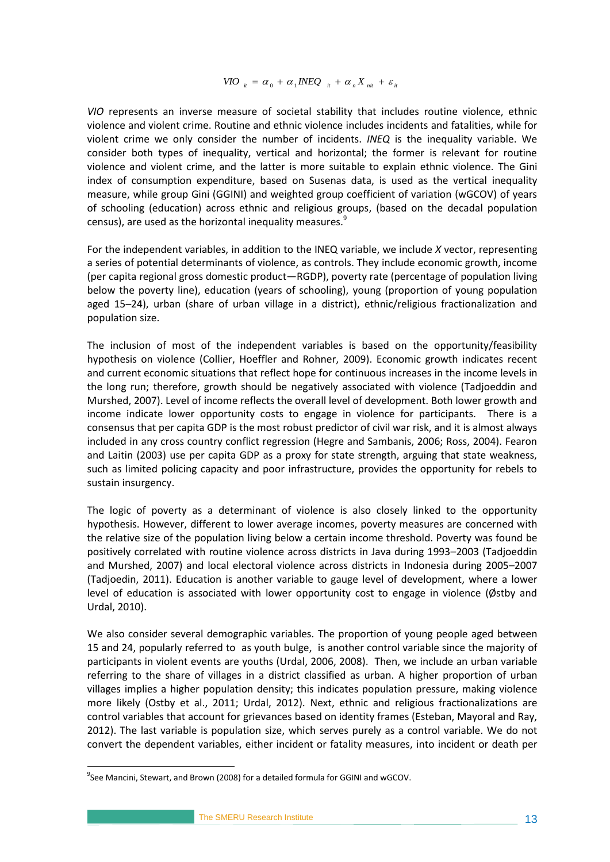$$
VIO_{ii} = \alpha_0 + \alpha_1 INEQ_{ii} + \alpha_n X_{ni} + \varepsilon_i
$$

*VIO* represents an inverse measure of societal stability that includes routine violence, ethnic violence and violent crime. Routine and ethnic violence includes incidents and fatalities, while for violent crime we only consider the number of incidents. *INEQ* is the inequality variable. We consider both types of inequality, vertical and horizontal; the former is relevant for routine violence and violent crime, and the latter is more suitable to explain ethnic violence. The Gini index of consumption expenditure, based on Susenas data, is used as the vertical inequality measure, while group Gini (GGINI) and weighted group coefficient of variation (wGCOV) of years of schooling (education) across ethnic and religious groups, (based on the decadal population census), are used as the horizontal inequality measures. $9$ 

For the independent variables, in addition to the INEQ variable, we include *X* vector, representing a series of potential determinants of violence, as controls. They include economic growth, income (per capita regional gross domestic product—RGDP), poverty rate (percentage of population living below the poverty line), education (years of schooling), young (proportion of young population aged 15–24), urban (share of urban village in a district), ethnic/religious fractionalization and population size.

The inclusion of most of the independent variables is based on the opportunity/feasibility hypothesis on violence (Collier, Hoeffler and Rohner, 2009). Economic growth indicates recent and current economic situations that reflect hope for continuous increases in the income levels in the long run; therefore, growth should be negatively associated with violence (Tadjoeddin and Murshed, 2007). Level of income reflects the overall level of development. Both lower growth and income indicate lower opportunity costs to engage in violence for participants. There is a consensus that per capita GDP is the most robust predictor of civil war risk, and it is almost always included in any cross country conflict regression (Hegre and Sambanis, 2006; Ross, 2004). Fearon and Laitin (2003) use per capita GDP as a proxy for state strength, arguing that state weakness, such as limited policing capacity and poor infrastructure, provides the opportunity for rebels to sustain insurgency.

The logic of poverty as a determinant of violence is also closely linked to the opportunity hypothesis. However, different to lower average incomes, poverty measures are concerned with the relative size of the population living below a certain income threshold. Poverty was found be positively correlated with routine violence across districts in Java during 1993–2003 (Tadjoeddin and Murshed, 2007) and local electoral violence across districts in Indonesia during 2005–2007 (Tadjoedin, 2011). Education is another variable to gauge level of development, where a lower level of education is associated with lower opportunity cost to engage in violence (Østby and Urdal, 2010).

We also consider several demographic variables. The proportion of young people aged between 15 and 24, popularly referred to as youth bulge, is another control variable since the majority of participants in violent events are youths (Urdal, 2006, 2008). Then, we include an urban variable referring to the share of villages in a district classified as urban. A higher proportion of urban villages implies a higher population density; this indicates population pressure, making violence more likely (Ostby et al., 2011; Urdal, 2012). Next, ethnic and religious fractionalizations are control variables that account for grievances based on identity frames (Esteban, Mayoral and Ray, 2012). The last variable is population size, which serves purely as a control variable. We do not convert the dependent variables, either incident or fatality measures, into incident or death per

1

 $^{9}$ See Mancini, Stewart, and Brown (2008) for a detailed formula for GGINI and wGCOV.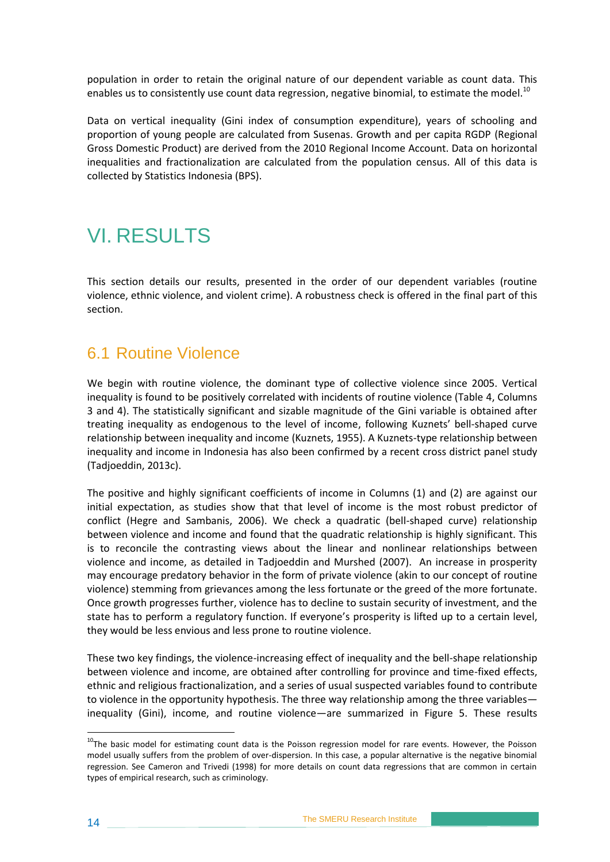population in order to retain the original nature of our dependent variable as count data. This enables us to consistently use count data regression, negative binomial, to estimate the model.<sup>10</sup>

Data on vertical inequality (Gini index of consumption expenditure), years of schooling and proportion of young people are calculated from Susenas. Growth and per capita RGDP (Regional Gross Domestic Product) are derived from the 2010 Regional Income Account. Data on horizontal inequalities and fractionalization are calculated from the population census. All of this data is collected by Statistics Indonesia (BPS).

## <span id="page-21-0"></span>VI. RESULTS

This section details our results, presented in the order of our dependent variables (routine violence, ethnic violence, and violent crime). A robustness check is offered in the final part of this section.

### <span id="page-21-1"></span>6.1 Routine Violence

We begin with routine violence, the dominant type of collective violence since 2005. Vertical inequality is found to be positively correlated with incidents of routine violence (Table 4, Columns 3 and 4). The statistically significant and sizable magnitude of the Gini variable is obtained after treating inequality as endogenous to the level of income, following Kuznets' bell-shaped curve relationship between inequality and income (Kuznets, 1955). A Kuznets-type relationship between inequality and income in Indonesia has also been confirmed by a recent cross district panel study (Tadjoeddin, 2013c).

The positive and highly significant coefficients of income in Columns (1) and (2) are against our initial expectation, as studies show that that level of income is the most robust predictor of conflict (Hegre and Sambanis, 2006). We check a quadratic (bell-shaped curve) relationship between violence and income and found that the quadratic relationship is highly significant. This is to reconcile the contrasting views about the linear and nonlinear relationships between violence and income, as detailed in Tadjoeddin and Murshed (2007). An increase in prosperity may encourage predatory behavior in the form of private violence (akin to our concept of routine violence) stemming from grievances among the less fortunate or the greed of the more fortunate. Once growth progresses further, violence has to decline to sustain security of investment, and the state has to perform a regulatory function. If everyone's prosperity is lifted up to a certain level, they would be less envious and less prone to routine violence.

These two key findings, the violence-increasing effect of inequality and the bell-shape relationship between violence and income, are obtained after controlling for province and time-fixed effects, ethnic and religious fractionalization, and a series of usual suspected variables found to contribute to violence in the opportunity hypothesis. The three way relationship among the three variables inequality (Gini), income, and routine violence—are summarized in Figure 5. These results

<u>.</u>

<sup>&</sup>lt;sup>10</sup>The basic model for estimating count data is the Poisson regression model for rare events. However, the Poisson model usually suffers from the problem of over-dispersion. In this case, a popular alternative is the negative binomial regression. See Cameron and Trivedi (1998) for more details on count data regressions that are common in certain types of empirical research, such as criminology.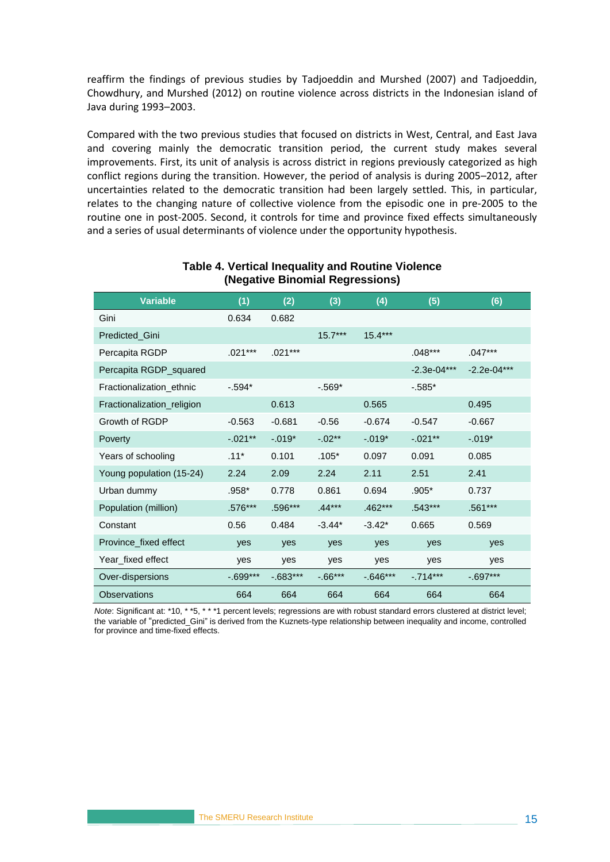reaffirm the findings of previous studies by Tadjoeddin and Murshed (2007) and Tadjoeddin, Chowdhury, and Murshed (2012) on routine violence across districts in the Indonesian island of Java during 1993–2003.

Compared with the two previous studies that focused on districts in West, Central, and East Java and covering mainly the democratic transition period, the current study makes several improvements. First, its unit of analysis is across district in regions previously categorized as high conflict regions during the transition. However, the period of analysis is during 2005–2012, after uncertainties related to the democratic transition had been largely settled. This, in particular, relates to the changing nature of collective violence from the episodic one in pre-2005 to the routine one in post-2005. Second, it controls for time and province fixed effects simultaneously and a series of usual determinants of violence under the opportunity hypothesis.

<span id="page-22-0"></span>

| <b>Variable</b>            | (1)         | (2)         | (3)        | (4)         | (5)           | (6)         |
|----------------------------|-------------|-------------|------------|-------------|---------------|-------------|
| Gini                       | 0.634       | 0.682       |            |             |               |             |
| Predicted_Gini             |             |             | $15.7***$  | $15.4***$   |               |             |
| Percapita RGDP             | $.021***$   | $.021***$   |            |             | $.048***$     | $.047***$   |
| Percapita RGDP_squared     |             |             |            |             | $-2.3e-04***$ | -2.2e-04*** |
| Fractionalization ethnic   | $-.594*$    |             | $-.569*$   |             | $-.585*$      |             |
| Fractionalization_religion |             | 0.613       |            | 0.565       |               | 0.495       |
| Growth of RGDP             | $-0.563$    | $-0.681$    | $-0.56$    | $-0.674$    | $-0.547$      | $-0.667$    |
| Poverty                    | $-.021**$   | $-.019*$    | $-.02**$   | $-.019*$    | $-.021**$     | $-.019*$    |
| Years of schooling         | $.11*$      | 0.101       | $.105*$    | 0.097       | 0.091         | 0.085       |
| Young population (15-24)   | 2.24        | 2.09        | 2.24       | 2.11        | 2.51          | 2.41        |
| Urban dummy                | .958*       | 0.778       | 0.861      | 0.694       | $.905*$       | 0.737       |
| Population (million)       | .576***     | .596***     | $.44***$   | $.462***$   | $.543***$     | $.561***$   |
| Constant                   | 0.56        | 0.484       | $-3.44*$   | $-3.42*$    | 0.665         | 0.569       |
| Province_fixed effect      | yes         | yes         | yes        | yes         | yes           | yes         |
| Year fixed effect          | ves         | ves         | ves        | ves         | ves           | ves         |
| Over-dispersions           | $-0.699***$ | $-0.683***$ | $-0.66***$ | $-0.646***$ | $-.714***$    | $-0.697***$ |
| <b>Observations</b>        | 664         | 664         | 664        | 664         | 664           | 664         |

#### **Table 4. Vertical Inequality and Routine Violence (Negative Binomial Regressions)**

*Note*: Significant at: \*10, \* \*5, \* \* \*1 percent levels; regressions are with robust standard errors clustered at district level; the variable of "predicted\_Gini" is derived from the Kuznets-type relationship between inequality and income, controlled for province and time-fixed effects.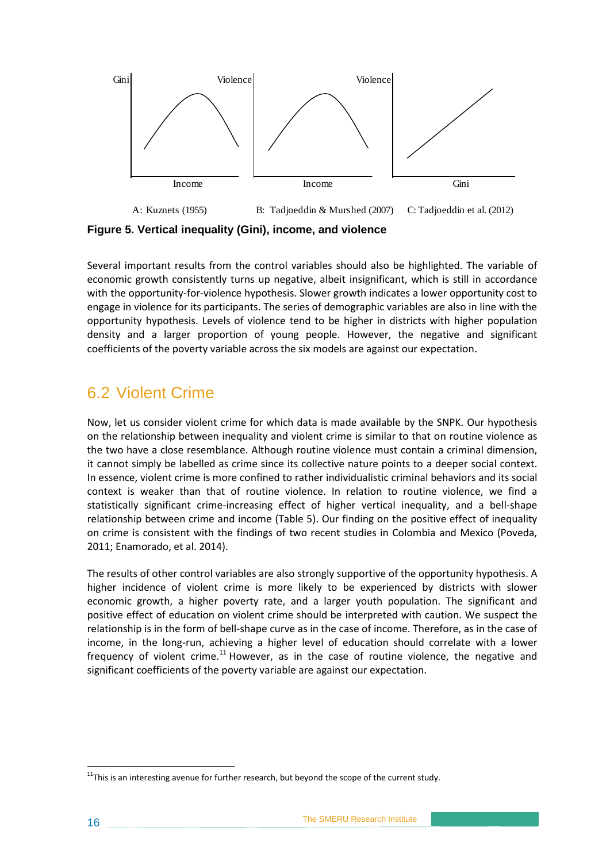

<span id="page-23-1"></span>**Figure 5. Vertical inequality (Gini), income, and violence**

Several important results from the control variables should also be highlighted. The variable of economic growth consistently turns up negative, albeit insignificant, which is still in accordance with the opportunity-for-violence hypothesis. Slower growth indicates a lower opportunity cost to engage in violence for its participants. The series of demographic variables are also in line with the opportunity hypothesis. Levels of violence tend to be higher in districts with higher population density and a larger proportion of young people. However, the negative and significant coefficients of the poverty variable across the six models are against our expectation.

### <span id="page-23-0"></span>6.2 Violent Crime

Now, let us consider violent crime for which data is made available by the SNPK. Our hypothesis on the relationship between inequality and violent crime is similar to that on routine violence as the two have a close resemblance. Although routine violence must contain a criminal dimension, it cannot simply be labelled as crime since its collective nature points to a deeper social context. In essence, violent crime is more confined to rather individualistic criminal behaviors and its social context is weaker than that of routine violence. In relation to routine violence, we find a statistically significant crime-increasing effect of higher vertical inequality, and a bell-shape relationship between crime and income (Table 5). Our finding on the positive effect of inequality on crime is consistent with the findings of two recent studies in Colombia and Mexico (Poveda, 2011; Enamorado, et al. 2014).

The results of other control variables are also strongly supportive of the opportunity hypothesis. A higher incidence of violent crime is more likely to be experienced by districts with slower economic growth, a higher poverty rate, and a larger youth population. The significant and positive effect of education on violent crime should be interpreted with caution. We suspect the relationship is in the form of bell-shape curve as in the case of income. Therefore, as in the case of income, in the long-run, achieving a higher level of education should correlate with a lower frequency of violent crime.<sup>11</sup> However, as in the case of routine violence, the negative and significant coefficients of the poverty variable are against our expectation.

1

 $11$ This is an interesting avenue for further research, but beyond the scope of the current study.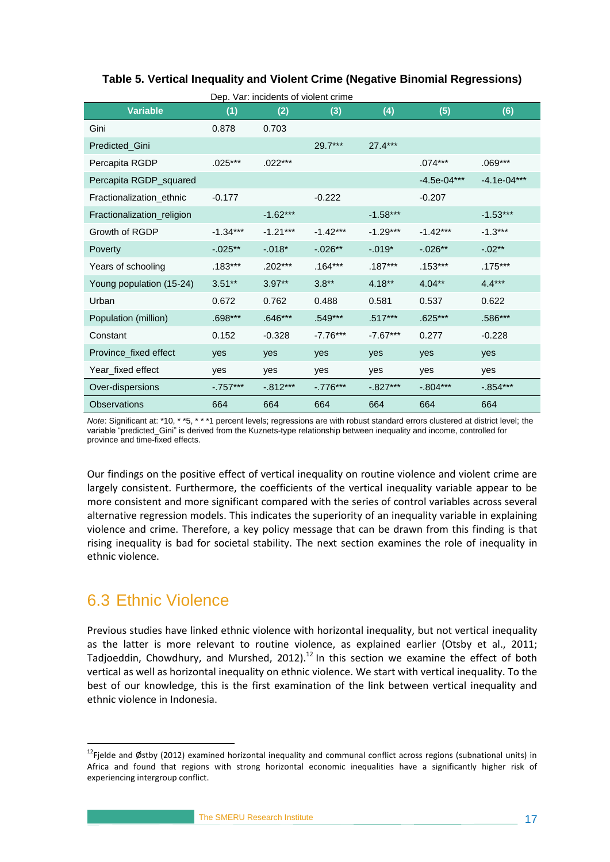#### <span id="page-24-1"></span>**Table 5. Vertical Inequality and Violent Crime (Negative Binomial Regressions)**

| <b>Variable</b>            | (1)         | (2)         | (3)        | (4)         | (5)           | (6)           |
|----------------------------|-------------|-------------|------------|-------------|---------------|---------------|
| Gini                       | 0.878       | 0.703       |            |             |               |               |
| Predicted Gini             |             |             | $29.7***$  | $27.4***$   |               |               |
| Percapita RGDP             | $.025***$   | $.022***$   |            |             | $.074***$     | $.069***$     |
| Percapita RGDP_squared     |             |             |            |             | $-4.5e-04***$ | $-4.1e-04***$ |
| Fractionalization ethnic   | $-0.177$    |             | $-0.222$   |             | $-0.207$      |               |
| Fractionalization_religion |             | $-1.62***$  |            | $-1.58***$  |               | $-1.53***$    |
| Growth of RGDP             | $-1.34***$  | $-1.21***$  | $-1.42***$ | $-1.29***$  | $-1.42***$    | $-1.3***$     |
| <b>Poverty</b>             | $-0.025**$  | $-.018*$    | $-0.026**$ | $-.019*$    | $-0.026**$    | $-.02**$      |
| Years of schooling         | $.183***$   | $.202***$   | $.164***$  | $.187***$   | $.153***$     | $.175***$     |
| Young population (15-24)   | $3.51**$    | $3.97**$    | $3.8**$    | $4.18**$    | $4.04***$     | $4.4***$      |
| Urban                      | 0.672       | 0.762       | 0.488      | 0.581       | 0.537         | 0.622         |
| Population (million)       | $.698***$   | $.646***$   | $.549***$  | $.517***$   | $.625***$     | .586***       |
| Constant                   | 0.152       | $-0.328$    | $-7.76***$ | $-7.67***$  | 0.277         | $-0.228$      |
| Province fixed effect      | yes         | yes         | yes        | yes         | yes           | yes           |
| Year_fixed effect          | yes         | yes         | yes        | yes         | yes           | yes           |
| Over-dispersions           | $-0.757***$ | $-0.812***$ | $-.776***$ | $-0.827***$ | $-.804***$    | $-.854***$    |
| <b>Observations</b>        | 664         | 664         | 664        | 664         | 664           | 664           |

*Note*: Significant at: \*10, \* \*5, \* \* \*1 percent levels; regressions are with robust standard errors clustered at district level; the variable "predicted\_Gini" is derived from the Kuznets-type relationship between inequality and income, controlled for province and time-fixed effects.

Our findings on the positive effect of vertical inequality on routine violence and violent crime are largely consistent. Furthermore, the coefficients of the vertical inequality variable appear to be more consistent and more significant compared with the series of control variables across several alternative regression models. This indicates the superiority of an inequality variable in explaining violence and crime. Therefore, a key policy message that can be drawn from this finding is that rising inequality is bad for societal stability. The next section examines the role of inequality in ethnic violence.

### <span id="page-24-0"></span>6.3 Ethnic Violence

1

Previous studies have linked ethnic violence with horizontal inequality, but not vertical inequality as the latter is more relevant to routine violence, as explained earlier (Otsby et al., 2011; Tadjoeddin, Chowdhury, and Murshed, 2012).<sup>12</sup> In this section we examine the effect of both vertical as well as horizontal inequality on ethnic violence. We start with vertical inequality. To the best of our knowledge, this is the first examination of the link between vertical inequality and ethnic violence in Indonesia.

<sup>&</sup>lt;sup>12</sup>Fjelde and Østby (2012) examined horizontal inequality and communal conflict across regions (subnational units) in Africa and found that regions with strong horizontal economic inequalities have a significantly higher risk of experiencing intergroup conflict.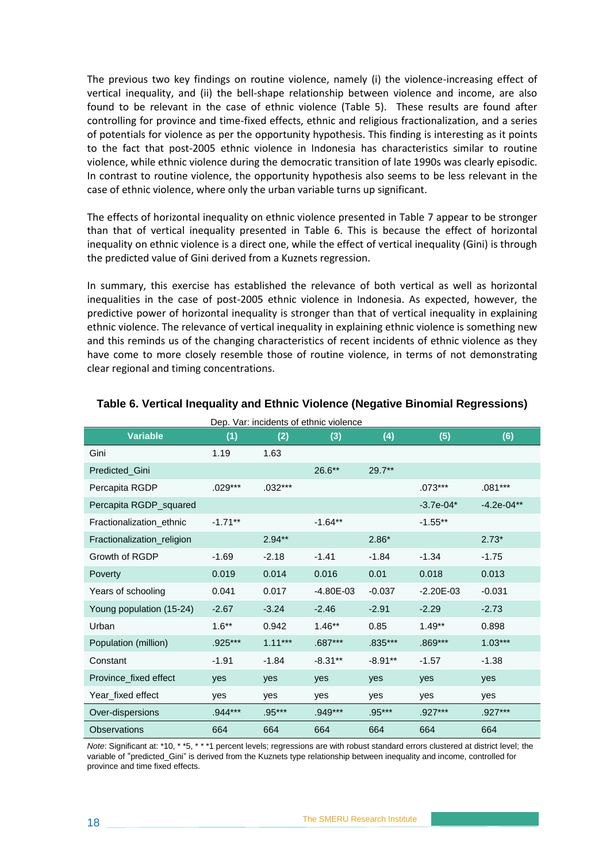The previous two key findings on routine violence, namely (i) the violence-increasing effect of vertical inequality, and (ii) the bell-shape relationship between violence and income, are also found to be relevant in the case of ethnic violence (Table 5). These results are found after controlling for province and time-fixed effects, ethnic and religious fractionalization, and a series of potentials for violence as per the opportunity hypothesis. This finding is interesting as it points to the fact that post-2005 ethnic violence in Indonesia has characteristics similar to routine violence, while ethnic violence during the democratic transition of late 1990s was clearly episodic. In contrast to routine violence, the opportunity hypothesis also seems to be less relevant in the case of ethnic violence, where only the urban variable turns up significant.

The effects of horizontal inequality on ethnic violence presented in Table 7 appear to be stronger than that of vertical inequality presented in Table 6. This is because the effect of horizontal inequality on ethnic violence is a direct one, while the effect of vertical inequality (Gini) is through the predicted value of Gini derived from a Kuznets regression.

In summary, this exercise has established the relevance of both vertical as well as horizontal inequalities in the case of post-2005 ethnic violence in Indonesia. As expected, however, the predictive power of horizontal inequality is stronger than that of vertical inequality in explaining ethnic violence. The relevance of vertical inequality in explaining ethnic violence is something new and this reminds us of the changing characteristics of recent incidents of ethnic violence as they have come to more closely resemble those of routine violence, in terms of not demonstrating clear regional and timing concentrations.

|                            |           |           | Dep. Var: incidents of ethnic violence |           |               |               |
|----------------------------|-----------|-----------|----------------------------------------|-----------|---------------|---------------|
| <b>Variable</b>            | (1)       | (2)       | (3)                                    | (4)       | (5)           | (6)           |
| Gini                       | 1.19      | 1.63      |                                        |           |               |               |
| Predicted Gini             |           |           | $26.6***$                              | $29.7**$  |               |               |
| Percapita RGDP             | $.029***$ | $.032***$ |                                        |           | $.073***$     | $.081***$     |
| Percapita RGDP_squared     |           |           |                                        |           | $-3.7e-04*$   | $-4.2e-04***$ |
| Fractionalization ethnic   | $-1.71**$ |           | $-1.64**$                              |           | $-1.55**$     |               |
| Fractionalization_religion |           | $2.94**$  |                                        | $2.86*$   |               | $2.73*$       |
| Growth of RGDP             | $-1.69$   | $-2.18$   | $-1.41$                                | $-1.84$   | $-1.34$       | $-1.75$       |
| Poverty                    | 0.019     | 0.014     | 0.016                                  | 0.01      | 0.018         | 0.013         |
| Years of schooling         | 0.041     | 0.017     | $-4.80E - 03$                          | $-0.037$  | $-2.20E - 03$ | $-0.031$      |
| Young population (15-24)   | $-2.67$   | $-3.24$   | $-2.46$                                | $-2.91$   | $-2.29$       | $-2.73$       |
| Urban                      | $1.6***$  | 0.942     | $1.46**$                               | 0.85      | $1.49**$      | 0.898         |
| Population (million)       | .925***   | $1.11***$ | $.687***$                              | .835***   | .869***       | $1.03***$     |
| Constant                   | $-1.91$   | $-1.84$   | $-8.31**$                              | $-8.91**$ | $-1.57$       | $-1.38$       |
| Province_fixed effect      | yes       | yes       | yes                                    | yes       | yes           | yes           |
| Year_fixed effect          | ves       | yes       | yes                                    | yes       | yes           | yes           |
| Over-dispersions           | .944***   | $.95***$  | .949***                                | $.95***$  | $.927***$     | .927***       |
| <b>Observations</b>        | 664       | 664       | 664                                    | 664       | 664           | 664           |

#### <span id="page-25-0"></span>**Table 6. Vertical Inequality and Ethnic Violence (Negative Binomial Regressions)**

*Note*: Significant at: \*10, \* \*5, \* \* \*1 percent levels; regressions are with robust standard errors clustered at district level; the variable of "predicted\_Gini" is derived from the Kuznets type relationship between inequality and income, controlled for province and time fixed effects.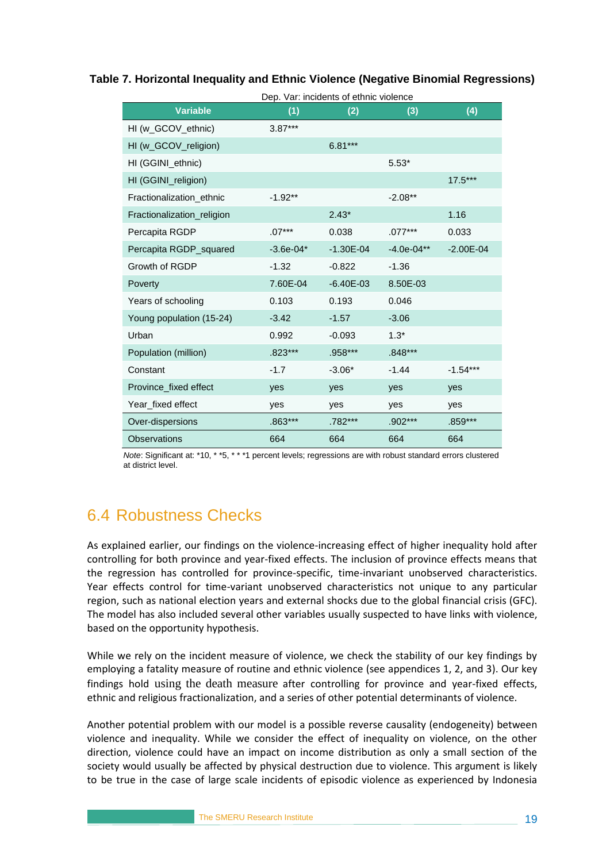|                            |             | Dep. Var: incidents of ethnic violence |               |               |
|----------------------------|-------------|----------------------------------------|---------------|---------------|
| <b>Variable</b>            | (1)         | (2)                                    | (3)           | (4)           |
| HI (w_GCOV_ethnic)         | $3.87***$   |                                        |               |               |
| HI (w_GCOV_religion)       |             | $6.81***$                              |               |               |
| HI (GGINI_ethnic)          |             |                                        | $5.53*$       |               |
| HI (GGINI_religion)        |             |                                        |               | $17.5***$     |
| Fractionalization_ethnic   | $-1.92**$   |                                        | $-2.08**$     |               |
| Fractionalization_religion |             | $2.43*$                                |               | 1.16          |
| Percapita RGDP             | $.07***$    | 0.038                                  | $.077***$     | 0.033         |
| Percapita RGDP_squared     | $-3.6e-04*$ | $-1.30E - 04$                          | $-4.0e-04***$ | $-2.00E - 04$ |
| Growth of RGDP             | $-1.32$     | $-0.822$                               | $-1.36$       |               |
| Poverty                    | 7.60E-04    | $-6.40E - 03$                          | 8.50E-03      |               |
| Years of schooling         | 0.103       | 0.193                                  | 0.046         |               |
| Young population (15-24)   | $-3.42$     | $-1.57$                                | $-3.06$       |               |
| Urban                      | 0.992       | $-0.093$                               | $1.3*$        |               |
| Population (million)       | $.823***$   | .958***                                | $.848***$     |               |
| Constant                   | $-1.7$      | $-3.06*$                               | $-1.44$       | $-1.54***$    |
| Province_fixed effect      | yes         | yes                                    | yes           | yes           |
| Year_fixed effect          | yes         | yes                                    | yes           | yes           |
| Over-dispersions           | $.863***$   | .782***                                | .902***       | .859***       |
| <b>Observations</b>        | 664         | 664                                    | 664           | 664           |

<span id="page-26-1"></span>**Table 7. Horizontal Inequality and Ethnic Violence (Negative Binomial Regressions)** 

*Note*: Significant at: \*10, \* \*5, \* \* \*1 percent levels; regressions are with robust standard errors clustered at district level.

### <span id="page-26-0"></span>6.4 Robustness Checks

As explained earlier, our findings on the violence-increasing effect of higher inequality hold after controlling for both province and year-fixed effects. The inclusion of province effects means that the regression has controlled for province-specific, time-invariant unobserved characteristics. Year effects control for time-variant unobserved characteristics not unique to any particular region, such as national election years and external shocks due to the global financial crisis (GFC). The model has also included several other variables usually suspected to have links with violence, based on the opportunity hypothesis.

While we rely on the incident measure of violence, we check the stability of our key findings by employing a fatality measure of routine and ethnic violence (see appendices 1, 2, and 3). Our key findings hold using the death measure after controlling for province and year-fixed effects, ethnic and religious fractionalization, and a series of other potential determinants of violence.

Another potential problem with our model is a possible reverse causality (endogeneity) between violence and inequality. While we consider the effect of inequality on violence, on the other direction, violence could have an impact on income distribution as only a small section of the society would usually be affected by physical destruction due to violence. This argument is likely to be true in the case of large scale incidents of episodic violence as experienced by Indonesia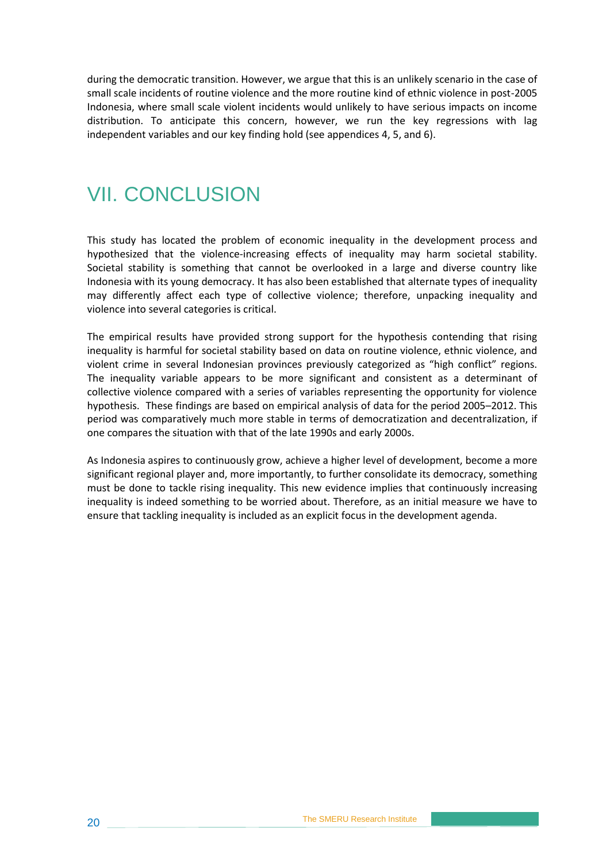during the democratic transition. However, we argue that this is an unlikely scenario in the case of small scale incidents of routine violence and the more routine kind of ethnic violence in post-2005 Indonesia, where small scale violent incidents would unlikely to have serious impacts on income distribution. To anticipate this concern, however, we run the key regressions with lag independent variables and our key finding hold (see appendices 4, 5, and 6).

## <span id="page-27-0"></span>VII. CONCLUSION

This study has located the problem of economic inequality in the development process and hypothesized that the violence-increasing effects of inequality may harm societal stability. Societal stability is something that cannot be overlooked in a large and diverse country like Indonesia with its young democracy. It has also been established that alternate types of inequality may differently affect each type of collective violence; therefore, unpacking inequality and violence into several categories is critical.

The empirical results have provided strong support for the hypothesis contending that rising inequality is harmful for societal stability based on data on routine violence, ethnic violence, and violent crime in several Indonesian provinces previously categorized as "high conflict" regions. The inequality variable appears to be more significant and consistent as a determinant of collective violence compared with a series of variables representing the opportunity for violence hypothesis. These findings are based on empirical analysis of data for the period 2005–2012. This period was comparatively much more stable in terms of democratization and decentralization, if one compares the situation with that of the late 1990s and early 2000s.

As Indonesia aspires to continuously grow, achieve a higher level of development, become a more significant regional player and, more importantly, to further consolidate its democracy, something must be done to tackle rising inequality. This new evidence implies that continuously increasing inequality is indeed something to be worried about. Therefore, as an initial measure we have to ensure that tackling inequality is included as an explicit focus in the development agenda.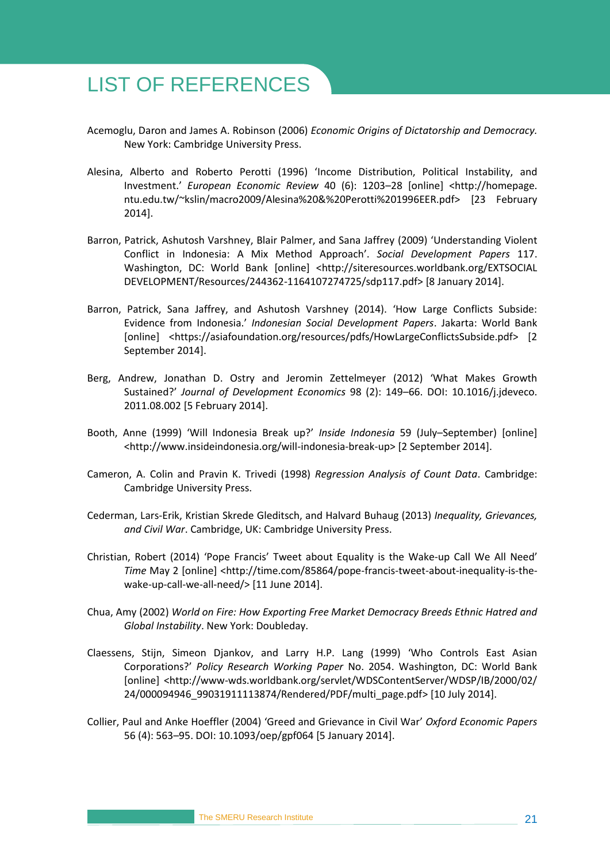## <span id="page-28-0"></span>LIST OF REFERENCES

- Acemoglu, Daron and James A. Robinson (2006) *Economic Origins of Dictatorship and Democracy.* New York: Cambridge University Press.
- Alesina, Alberto and Roberto Perotti (1996) 'Income Distribution, Political Instability, and Investment.' *European Economic Review* 40 (6): 1203–28 [online] <http://homepage. ntu.edu.tw/~kslin/macro2009/Alesina%20&%20Perotti%201996EER.pdf> [23 February 2014].
- Barron, Patrick, Ashutosh Varshney, Blair Palmer, and Sana Jaffrey (2009) 'Understanding Violent Conflict in Indonesia: A Mix Method Approach'. *Social Development Papers* 117. Washington, DC: World Bank [online] <http://siteresources.worldbank.org/EXTSOCIAL DEVELOPMENT/Resources/244362-1164107274725/sdp117.pdf> [8 January 2014].
- Barron, Patrick, Sana Jaffrey, and Ashutosh Varshney (2014). 'How Large Conflicts Subside: Evidence from Indonesia.' *Indonesian Social Development Papers*. Jakarta: World Bank [online] <https://asiafoundation.org/resources/pdfs/HowLargeConflictsSubside.pdf> [2 September 2014].
- Berg, Andrew, Jonathan D. Ostry and Jeromin Zettelmeyer (2012) 'What Makes Growth Sustained?' *Journal of Development Economics* 98 (2): 149–66. DOI: 10.1016/j.jdeveco. 2011.08.002 [5 February 2014].
- Booth, Anne (1999) 'Will Indonesia Break up?' *Inside Indonesia* 59 (July–September) [online] <http://www.insideindonesia.org/will-indonesia-break-up> [2 September 2014].
- Cameron, A. Colin and Pravin K. Trivedi (1998) *Regression Analysis of Count Data*. Cambridge: Cambridge University Press.
- Cederman, Lars-Erik, Kristian Skrede Gleditsch, and Halvard Buhaug (2013) *Inequality, Grievances, and Civil War*. Cambridge, UK: Cambridge University Press.
- Christian, Robert (2014) 'Pope Francis' Tweet about Equality is the Wake-up Call We All Need' *Time* May 2 [online] [<http://time.com/85864/pope-francis-tweet-about-inequality-is-the](http://time.com/85864/pope-francis-tweet-about-inequality-is-the-wake-up-call-we-all-need/)[wake-up-call-we-all-need/>](http://time.com/85864/pope-francis-tweet-about-inequality-is-the-wake-up-call-we-all-need/) [11 June 2014].
- Chua, Amy (2002) *World on Fire: How Exporting Free Market Democracy Breeds Ethnic Hatred and Global Instability*. New York: Doubleday.
- Claessens, Stijn, Simeon Djankov, and Larry H.P. Lang (1999) 'Who Controls East Asian Corporations?' *Policy Research Working Paper* No. 2054. Washington, DC: World Bank [online] <http://www-wds.worldbank.org/servlet/WDSContentServer/WDSP/IB/2000/02/ 24/000094946\_99031911113874/Rendered/PDF/multi\_page.pdf> [10 July 2014].
- Collier, Paul and Anke Hoeffler (2004) 'Greed and Grievance in Civil War' *Oxford Economic Papers* 56 (4): 563–95. DOI: 10.1093/oep/gpf064 [5 January 2014].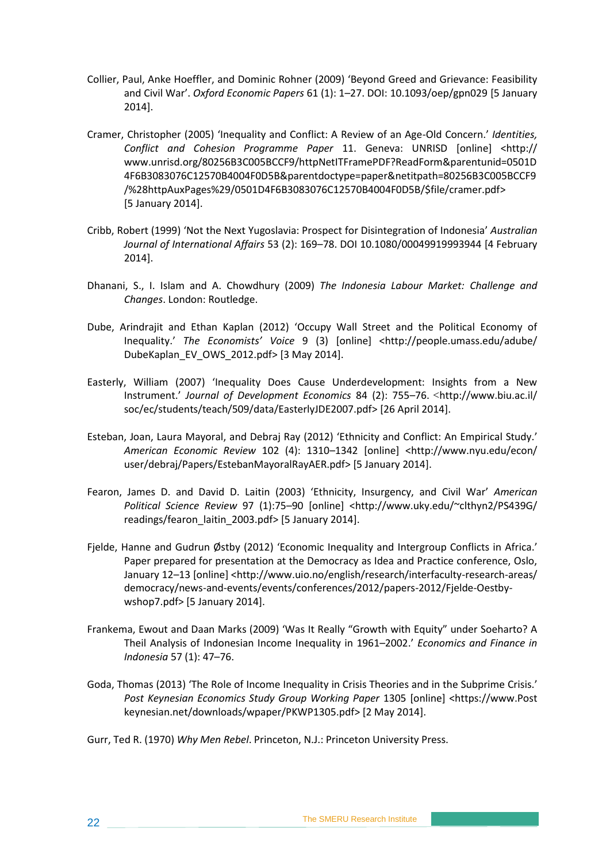- Collier, Paul, Anke Hoeffler, and Dominic Rohner (2009) 'Beyond Greed and Grievance: Feasibility and Civil War'. *Oxford Economic Papers* 61 (1): 1–27. DOI: 10.1093/oep/gpn029 [5 January 2014].
- Cramer, Christopher (2005) 'Inequality and Conflict: A Review of an Age-Old Concern.' *Identities, Conflict and Cohesion Programme Paper* 11. Geneva: UNRISD [online] <http:// www.unrisd.org/80256B3C005BCCF9/httpNetITFramePDF?ReadForm&parentunid=0501D 4F6B3083076C12570B4004F0D5B&parentdoctype=paper&netitpath=80256B3C005BCCF9 /%28httpAuxPages%29/0501D4F6B3083076C12570B4004F0D5B/\$file/cramer.pdf> [5 January 2014].
- Cribb, Robert (1999) 'Not the Next Yugoslavia: Prospect for Disintegration of Indonesia' *Australian Journal of International Affairs* 53 (2): 169–78. DOI 10.1080/00049919993944 [4 February 2014].
- Dhanani, S., I. Islam and A. Chowdhury (2009) *The Indonesia Labour Market: Challenge and Changes*. London: Routledge.
- Dube, Arindrajit and Ethan Kaplan (2012) 'Occupy Wall Street and the Political Economy of Inequality.' The Economists' Voice 9 (3) [online] <http://people.umass.edu/adube/ DubeKaplan\_EV\_OWS\_2012.pdf> [3 May 2014].
- Easterly, William (2007) 'Inequality Does Cause Underdevelopment: Insights from a New Instrument.' *Journal of Development Economics* 84 (2): 755–76. <http://www.biu.ac.il/ soc/ec/students/teach/509/data/EasterlyJDE2007.pdf> [26 April 2014].
- Esteban, Joan, Laura Mayoral, and Debraj Ray (2012) 'Ethnicity and Conflict: An Empirical Study.' *American Economic Review* 102 (4): 1310–1342 [online] <http://www.nyu.edu/econ/ user/debraj/Papers/EstebanMayoralRayAER.pdf> [5 January 2014].
- Fearon, James D. and David D. Laitin (2003) 'Ethnicity, Insurgency, and Civil War' *American Political Science Review* 97 (1):75–90 [online] <http://www.uky.edu/~clthyn2/PS439G/ readings/fearon\_laitin\_2003.pdf> [5 January 2014].
- Fjelde, Hanne and Gudrun Østby (2012) 'Economic Inequality and Intergroup Conflicts in Africa.' Paper prepared for presentation at the Democracy as Idea and Practice conference, Oslo, January 12–13 [online] <http://www.uio.no/english/research/interfaculty-research-areas/ democracy/news-and-events/events/conferences/2012/papers-2012/Fjelde-Oestbywshop7.pdf> [5 January 2014].
- Frankema, Ewout and Daan Marks (2009) 'Was It Really "Growth with Equity" under Soeharto? A Theil Analysis of Indonesian Income Inequality in 1961–2002.' *Economics and Finance in Indonesia* 57 (1): 47–76.
- Goda, Thomas (2013) 'The Role of Income Inequality in Crisis Theories and in the Subprime Crisis.' *Post Keynesian Economics Study Group Working Paper* 1305 [online] <https://www.Post keynesian.net/downloads/wpaper/PKWP1305.pdf> [2 May 2014].
- Gurr, Ted R. (1970) *Why Men Rebel*. Princeton, N.J.: Princeton University Press.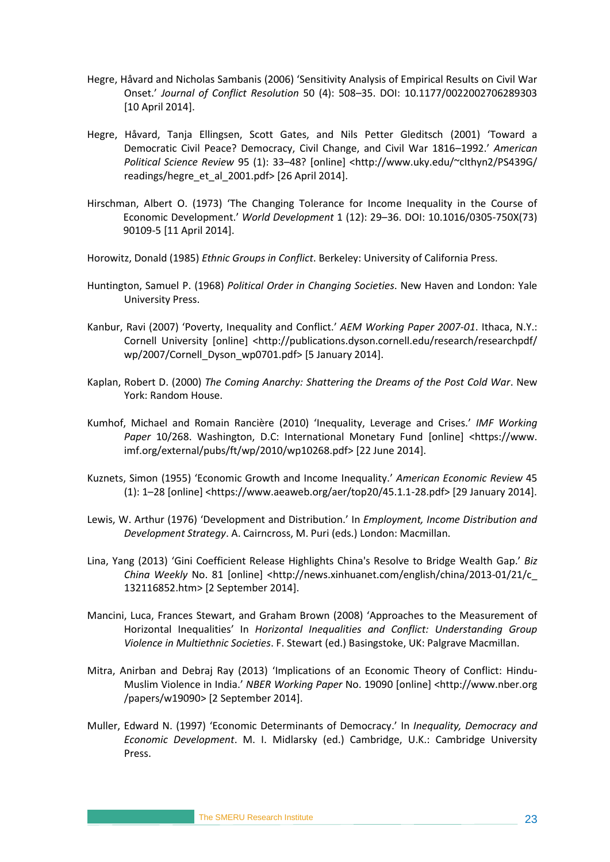- Hegre, Håvard and Nicholas Sambanis (2006) 'Sensitivity Analysis of Empirical Results on Civil War Onset.' *Journal of Conflict Resolution* 50 (4): 508–35. DOI: 10.1177/0022002706289303 [10 April 2014].
- Hegre, Håvard, Tanja Ellingsen, Scott Gates, and Nils Petter Gleditsch (2001) 'Toward a Democratic Civil Peace? Democracy, Civil Change, and Civil War 1816–1992.' *American Political Science Review* 95 (1): 33–48? [online] <http://www.uky.edu/~clthyn2/PS439G/ readings/hegre\_et\_al\_2001.pdf> [26 April 2014].
- Hirschman, Albert O. (1973) 'The Changing Tolerance for Income Inequality in the Course of Economic Development.' *World Development* 1 (12): 29–36. DOI: 10.1016/0305-750X(73) 90109-5 [11 April 2014].
- Horowitz, Donald (1985) *Ethnic Groups in Conflict*. Berkeley: University of California Press.
- Huntington, Samuel P. (1968) *Political Order in Changing Societies*. New Haven and London: Yale University Press.
- Kanbur, Ravi (2007) 'Poverty, Inequality and Conflict.' *AEM Working Paper 2007-01*. Ithaca, N.Y.: Cornell University [online] <http://publications.dyson.cornell.edu/research/researchpdf/ wp/2007/Cornell\_Dyson\_wp0701.pdf> [5 January 2014].
- Kaplan, Robert D. (2000) *The Coming Anarchy: Shattering the Dreams of the Post Cold War*. New York: Random House.
- Kumhof, Michael and Romain Rancière (2010) 'Inequality, Leverage and Crises.' *IMF Working*  Paper 10/268. Washington, D.C: International Monetary Fund [online] <https://www. imf.org/external/pubs/ft/wp/2010/wp10268.pdf> [22 June 2014].
- Kuznets, Simon (1955) 'Economic Growth and Income Inequality.' *American Economic Review* 45 (1): 1–28 [online] <https://www.aeaweb.org/aer/top20/45.1.1-28.pdf> [29 January 2014].
- Lewis, W. Arthur (1976) 'Development and Distribution.' In *Employment, Income Distribution and Development Strategy*. A. Cairncross, M. Puri (eds.) London: Macmillan.
- Lina, Yang (2013) 'Gini Coefficient Release Highlights China's Resolve to Bridge Wealth Gap.' *Biz China Weekly* No. 81 [online] [<http://news.xinhuanet.com/english/china/2013-01/21/c\\_](http://news.xinhuanet.com/english/china/2013-01/21/c_132116852.htm) [132116852.htm>](http://news.xinhuanet.com/english/china/2013-01/21/c_132116852.htm) [2 September 2014].
- Mancini, Luca, Frances Stewart, and Graham Brown (2008) 'Approaches to the Measurement of Horizontal Inequalities' In *Horizontal Inequalities and Conflict: Understanding Group Violence in Multiethnic Societies*. F. Stewart (ed.) Basingstoke, UK: Palgrave Macmillan.
- Mitra, Anirban and Debraj Ray (2013) 'Implications of an Economic Theory of Conflict: Hindu-Muslim Violence in India.' *NBER Working Paper* No. 19090 [online] <http://www.nber.org /papers/w19090> [2 September 2014].
- Muller, Edward N. (1997) 'Economic Determinants of Democracy.' In *Inequality, Democracy and Economic Development*. M. I. Midlarsky (ed.) Cambridge, U.K.: Cambridge University Press.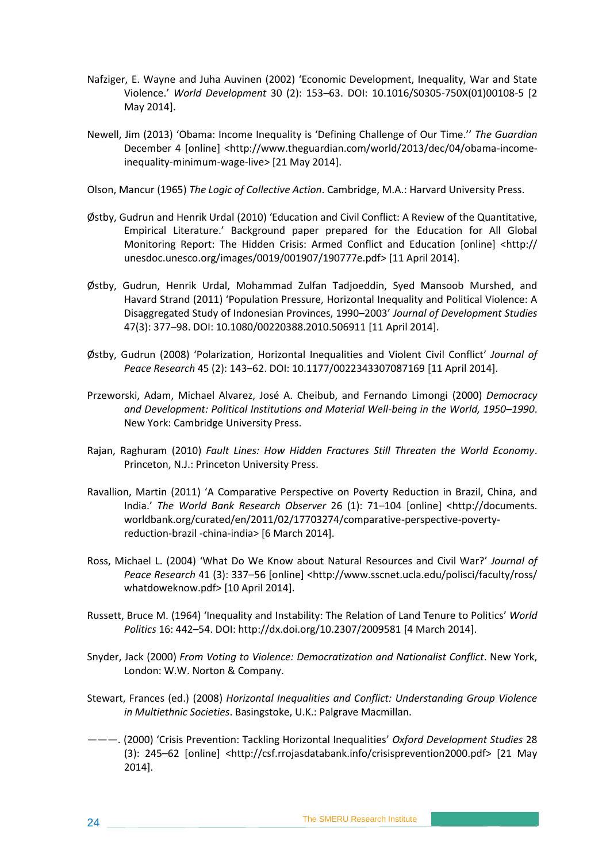- Nafziger, E. Wayne and Juha Auvinen (2002) 'Economic Development, Inequality, War and State Violence.' *World Development* 30 (2): 153–63. [DOI: 10.1016/S0305-750X\(01\)00108-5](http://dx.doi.org/10.1016/S0305-750X%2801%2900108-5) [2 May 2014].
- Newell, Jim (2013) 'Obama: Income Inequality is 'Defining Challenge of Our Time.'' *The Guardian*  December 4 [online] [<http://www.theguardian.com/world/2013/dec/04/obama-income](http://www.theguardian.com/world/2013/dec/04/obama-income-inequality-minimum-wage-live)[inequality-minimum-wage-live>](http://www.theguardian.com/world/2013/dec/04/obama-income-inequality-minimum-wage-live) [21 May 2014].
- Olson, Mancur (1965) *The Logic of Collective Action*. Cambridge, M.A.: Harvard University Press.
- Østby, Gudrun and Henrik Urdal (2010) 'Education and Civil Conflict: A Review of the Quantitative, Empirical Literature.' Background paper prepared for the Education for All Global Monitoring Report: The Hidden Crisis: Armed Conflict and Education [online] <http:// unesdoc.unesco.org/images/0019/001907/190777e.pdf> [11 April 2014].
- Østby, Gudrun, Henrik Urdal, Mohammad Zulfan Tadjoeddin, Syed Mansoob Murshed, and Havard Strand (2011) 'Population Pressure, Horizontal Inequality and Political Violence: A Disaggregated Study of Indonesian Provinces, 1990–2003' *Journal of Development Studies* 47(3): 377–98. DOI: 10.1080/00220388.2010.506911 [11 April 2014].
- Østby, Gudrun (2008) 'Polarization, Horizontal Inequalities and Violent Civil Conflict' *Journal of Peace Research* 45 (2): 143–62. DOI: 10.1177/0022343307087169 [11 April 2014].
- Przeworski, Adam, Michael Alvarez, José A. Cheibub, and Fernando Limongi (2000) *Democracy and Development: Political Institutions and Material Well-being in the World, 1950–1990*. New York: Cambridge University Press.
- Rajan, Raghuram (2010) *Fault Lines: How Hidden Fractures Still Threaten the World Economy*. Princeton, N.J.: Princeton University Press.
- Ravallion, Martin (2011) 'A Comparative Perspective on Poverty Reduction in Brazil, China, and India.' *The World Bank Research Observer* 26 (1): 71–104 [online] <http://documents. worldbank.org/curated/en/2011/02/17703274/comparative-perspective-povertyreduction-brazil -china-india> [6 March 2014].
- Ross, Michael L. (2004) 'What Do We Know about Natural Resources and Civil War?' *Journal of Peace Research* 41 (3): 337–56 [online] <http://www.sscnet.ucla.edu/polisci/faculty/ross/ whatdoweknow.pdf> [10 April 2014].
- Russett, Bruce M. (1964) 'Inequality and Instability: The Relation of Land Tenure to Politics' *World Politics* 16: 442–54. DOI: <http://dx.doi.org/10.2307/2009581> [4 March 2014].
- Snyder, Jack (2000) *From Voting to Violence: Democratization and Nationalist Conflict*. New York, London: W.W. Norton & Company.
- Stewart, Frances (ed.) (2008) *Horizontal Inequalities and Conflict: Understanding Group Violence in Multiethnic Societies*. Basingstoke, U.K.: Palgrave Macmillan.
- ———. (2000) 'Crisis Prevention: Tackling Horizontal Inequalities' *Oxford Development Studies* 28 (3): 245–62 [online] <http://csf.rrojasdatabank.info/crisisprevention2000.pdf> [21 May 2014].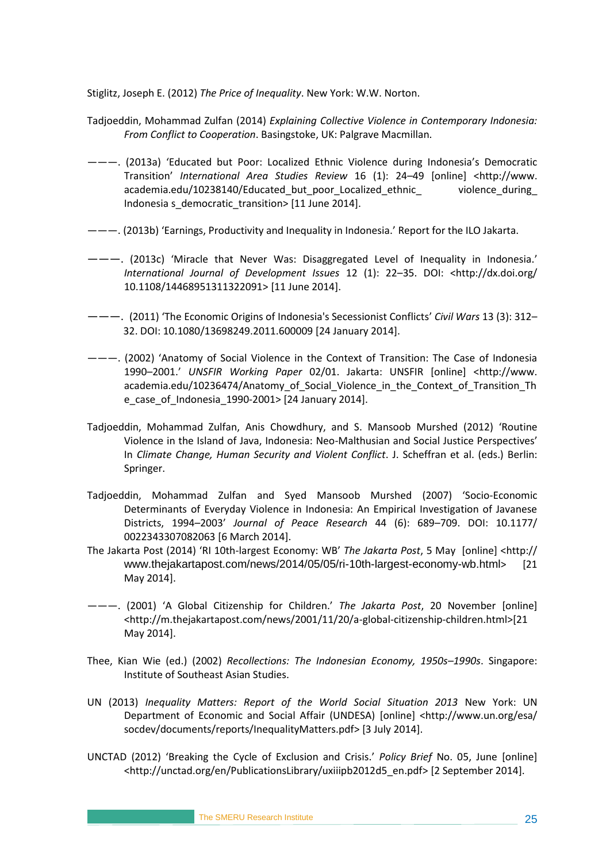Stiglitz, Joseph E. (2012) *The Price of Inequality*. New York: W.W. Norton.

- Tadjoeddin, Mohammad Zulfan (2014) *Explaining Collective Violence in Contemporary Indonesia: From Conflict to Cooperation*. Basingstoke, UK: Palgrave Macmillan.
- ———. (2013a) 'Educated but Poor: Localized Ethnic Violence during Indonesia's Democratic Transition' *International Area Studies Review* 16 (1): 24–49 [online] <http://www. academia.edu/10238140/Educated\_but\_poor\_Localized\_ethnic\_ violence\_during\_ Indonesia s\_democratic\_transition> [11 June 2014].
- ———. (2013b) 'Earnings, Productivity and Inequality in Indonesia.' Report for the ILO Jakarta.
- ———. (2013c) 'Miracle that Never Was: Disaggregated Level of Inequality in Indonesia.' *International Journal of Development Issues* 12 (1): 22–35. DOI: <http://dx.doi.org/ 10.1108/14468951311322091> [11 June 2014].
- ———. (2011) 'The Economic Origins of Indonesia's Secessionist Conflicts' *Civil Wars* 13 (3): 312– 32. DOI: 10.1080/13698249.2011.600009 [24 January 2014].
- ———. (2002) 'Anatomy of Social Violence in the Context of Transition: The Case of Indonesia 1990–2001.' *UNSFIR Working Paper* 02/01. Jakarta: UNSFIR [online] <http://www. academia.edu/10236474/Anatomy\_of\_Social\_Violence\_in\_the\_Context\_of\_Transition\_Th e\_case\_of\_Indonesia\_1990-2001> [24 January 2014].
- Tadjoeddin, Mohammad Zulfan, Anis Chowdhury, and S. Mansoob Murshed (2012) 'Routine Violence in the Island of Java, Indonesia: Neo-Malthusian and Social Justice Perspectives' In *Climate Change, Human Security and Violent Conflict*. J. Scheffran et al. (eds.) Berlin: Springer.
- Tadjoeddin, Mohammad Zulfan and Syed Mansoob Murshed (2007) 'Socio-Economic Determinants of Everyday Violence in Indonesia: An Empirical Investigation of Javanese Districts, 1994–2003' *Journal of Peace Research* 44 (6): 689–709. DOI: 10.1177/ 0022343307082063 [6 March 2014].
- The Jakarta Post (2014) 'RI 10th-largest Economy: WB' *The Jakarta Post*, 5 May [online] <http:// www.thejakartapost.com/news/2014/05/05/ri-10th-largest-economy-wb.html> [21 May 2014].
- ———. (2001) 'A Global Citizenship for Children.' *The Jakarta Post*, 20 November [online] <http://m.thejakartapost.com/news/2001/11/20/a-global-citizenship-children.html>[21 May 2014].
- Thee, Kian Wie (ed.) (2002) *Recollections: The Indonesian Economy, 1950s–1990s*. Singapore: Institute of Southeast Asian Studies.
- UN (2013) *Inequality Matters: Report of the World Social Situation 2013* New York: UN Department of Economic and Social Affair (UNDESA) [online] <http://www.un.org/esa/ socdev/documents/reports/InequalityMatters.pdf> [3 July 2014].
- UNCTAD (2012) 'Breaking the Cycle of Exclusion and Crisis.' *Policy Brief* No. 05, June [online] <http://unctad.org/en/PublicationsLibrary/uxiiipb2012d5\_en.pdf> [2 September 2014].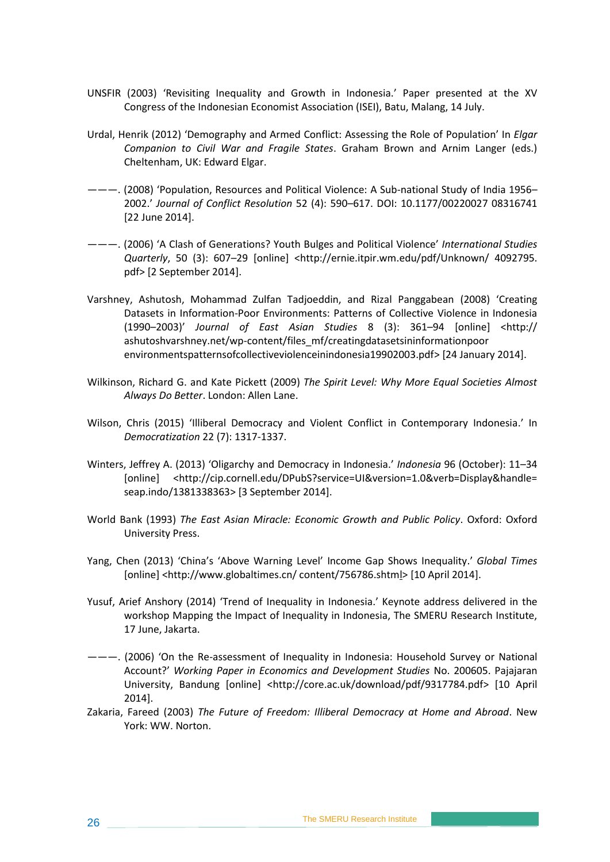- UNSFIR (2003) 'Revisiting Inequality and Growth in Indonesia.' Paper presented at the XV Congress of the Indonesian Economist Association (ISEI), Batu, Malang, 14 July.
- Urdal, Henrik (2012) 'Demography and Armed Conflict: Assessing the Role of Population' In *Elgar Companion to Civil War and Fragile States*. Graham Brown and Arnim Langer (eds.) Cheltenham, UK: Edward Elgar.
- ———. (2008) 'Population, Resources and Political Violence: A Sub-national Study of India 1956– 2002.' *Journal of Conflict Resolution* 52 (4): 590–617. DOI: 10.1177/00220027 08316741 [22 June 2014].
- ———. (2006) 'A Clash of Generations? Youth Bulges and Political Violence' *International Studies Quarterly*, 50 (3): 607–29 [online] <http://ernie.itpir.wm.edu/pdf/Unknown/ 4092795. pdf> [2 September 2014].
- Varshney, Ashutosh, Mohammad Zulfan Tadjoeddin, and Rizal Panggabean (2008) 'Creating Datasets in Information-Poor Environments: Patterns of Collective Violence in Indonesia (1990–2003)' *Journal of East Asian Studies* 8 (3): 361–94 [online] <http:// ashutoshvarshney.net/wp-content/files\_mf/creatingdatasetsininformationpoor environmentspatternsofcollectiveviolenceinindonesia19902003.pdf> [24 January 2014].
- Wilkinson, Richard G. and Kate Pickett (2009) *The Spirit Level: Why More Equal Societies Almost Always Do Better*. London: Allen Lane.
- Wilson, Chris (2015) 'Illiberal Democracy and Violent Conflict in Contemporary Indonesia.' In *Democratization* 22 (7): 1317-1337.
- Winters, Jeffrey A. (2013) 'Oligarchy and Democracy in Indonesia.' *Indonesia* 96 (October): 11–34 [online] [<http://cip.cornell.edu/DPubS?service=UI&version=1.0&verb=Display&handle=](http://cip.cornell.edu/DPubS?service=UI&version=1.0&verb=Display&handle=seap.indo/1381338363) [seap.indo/1381338363>](http://cip.cornell.edu/DPubS?service=UI&version=1.0&verb=Display&handle=seap.indo/1381338363) [3 September 2014].
- World Bank (1993) *The East Asian Miracle: Economic Growth and Public Policy*. Oxford: Oxford University Press.
- Yang, Chen (2013) 'China's 'Above Warning Level' Income Gap Shows Inequality.' *Global Times* [online] [<http://www.globaltimes.cn/ content/756786.shtml>](http://www.globaltimes.cn/content/756786.shtml) [10 April 2014].
- Yusuf, Arief Anshory (2014) 'Trend of Inequality in Indonesia.' Keynote address delivered in the workshop Mapping the Impact of Inequality in Indonesia, The SMERU Research Institute, 17 June, Jakarta.
- ———. (2006) 'On the Re-assessment of Inequality in Indonesia: Household Survey or National Account?' *Working Paper in Economics and Development Studies* No. 200605. Pajajaran University, Bandung [online] <http://core.ac.uk/download/pdf/9317784.pdf> [10 April 2014].
- Zakaria, Fareed (2003) *The Future of Freedom: Illiberal Democracy at Home and Abroad*. New York: WW. Norton.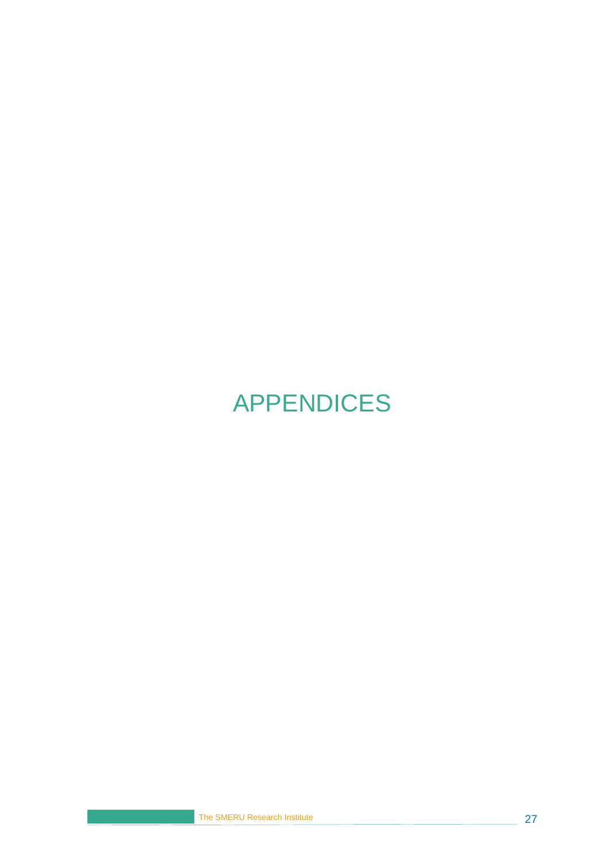# <span id="page-34-0"></span>APPENDICES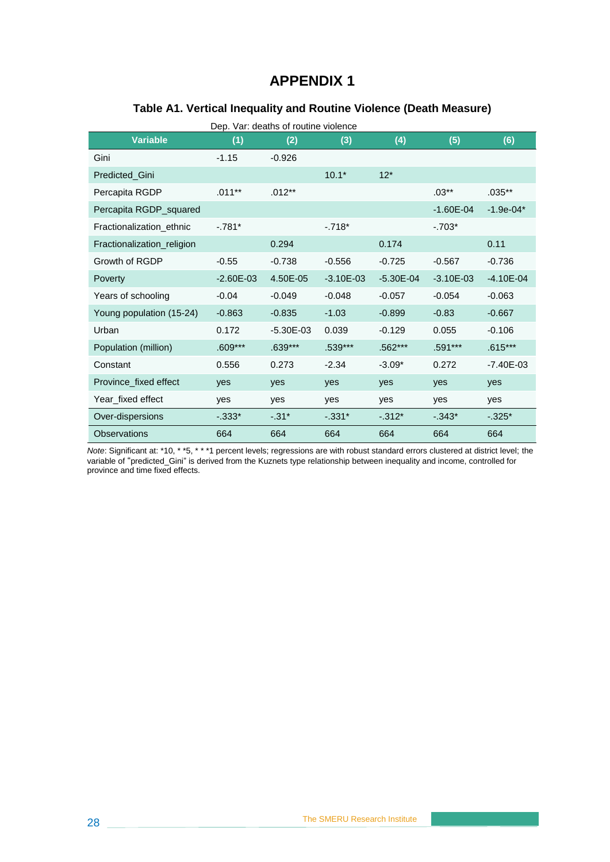#### **Table A1. Vertical Inequality and Routine Violence (Death Measure)**

<span id="page-35-0"></span>

| <b>Variable</b>            | (1)           | (2)           | (3)           | (4)           | (5)           | (6)           |
|----------------------------|---------------|---------------|---------------|---------------|---------------|---------------|
| Gini                       | $-1.15$       | $-0.926$      |               |               |               |               |
| Predicted Gini             |               |               | $10.1*$       | $12*$         |               |               |
| Percapita RGDP             | $.011**$      | $.012**$      |               |               | $.03***$      | $.035**$      |
| Percapita RGDP_squared     |               |               |               |               | $-1.60E - 04$ | $-1.9e-04*$   |
| Fractionalization ethnic   | $-781*$       |               | $-.718*$      |               | $-.703*$      |               |
| Fractionalization_religion |               | 0.294         |               | 0.174         |               | 0.11          |
| Growth of RGDP             | $-0.55$       | $-0.738$      | $-0.556$      | $-0.725$      | $-0.567$      | $-0.736$      |
| Poverty                    | $-2.60E - 03$ | 4.50E-05      | $-3.10E - 03$ | $-5.30E - 04$ | $-3.10E - 03$ | $-4.10E - 04$ |
| Years of schooling         | $-0.04$       | $-0.049$      | $-0.048$      | $-0.057$      | $-0.054$      | $-0.063$      |
| Young population (15-24)   | $-0.863$      | $-0.835$      | $-1.03$       | $-0.899$      | $-0.83$       | $-0.667$      |
| Urban                      | 0.172         | $-5.30E - 03$ | 0.039         | $-0.129$      | 0.055         | $-0.106$      |
| Population (million)       | $.609***$     | $.639***$     | .539***       | .562***       | .591***       | $.615***$     |
| Constant                   | 0.556         | 0.273         | $-2.34$       | $-3.09*$      | 0.272         | $-7.40E - 03$ |
| Province_fixed effect      | yes           | yes           | yes           | yes           | yes           | yes           |
| Year fixed effect          | yes           | yes           | yes           | yes           | yes           | yes           |
| Over-dispersions           | $-0.333*$     | $-.31*$       | $-.331*$      | $-312*$       | $-.343*$      | $-.325*$      |
| Observations               | 664           | 664           | 664           | 664           | 664           | 664           |

*Note*: Significant at: \*10, \* \*5, \* \* \*1 percent levels; regressions are with robust standard errors clustered at district level; the variable of "predicted\_Gini" is derived from the Kuznets type relationship between inequality and income, controlled for province and time fixed effects.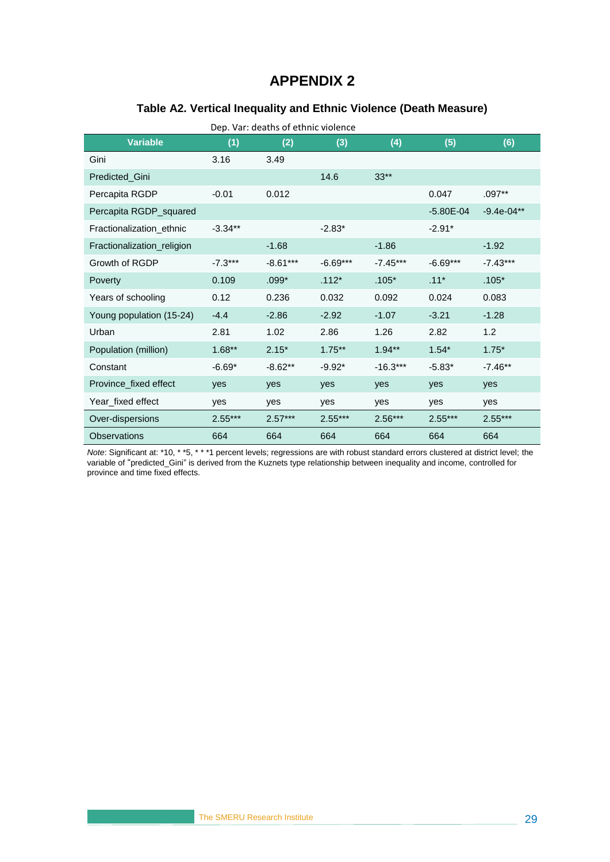#### **Table A2. Vertical Inequality and Ethnic Violence (Death Measure)**

<span id="page-36-0"></span>

| <b>Variable</b>            | (1)       | (2)        | (3)        | (4)        | (5)           | (6)           |
|----------------------------|-----------|------------|------------|------------|---------------|---------------|
| Gini                       | 3.16      | 3.49       |            |            |               |               |
| Predicted_Gini             |           |            | 14.6       | $33**$     |               |               |
| Percapita RGDP             | $-0.01$   | 0.012      |            |            | 0.047         | $.097**$      |
| Percapita RGDP_squared     |           |            |            |            | $-5.80E - 04$ | $-9.4e-04***$ |
| Fractionalization ethnic   | $-3.34**$ |            | $-2.83*$   |            | $-2.91*$      |               |
| Fractionalization_religion |           | $-1.68$    |            | $-1.86$    |               | $-1.92$       |
| Growth of RGDP             | $-7.3***$ | $-8.61***$ | $-6.69***$ | $-7.45***$ | $-6.69***$    | $-7.43***$    |
| Poverty                    | 0.109     | $.099*$    | $.112*$    | $.105*$    | $.11*$        | $.105*$       |
| Years of schooling         | 0.12      | 0.236      | 0.032      | 0.092      | 0.024         | 0.083         |
| Young population (15-24)   | $-4.4$    | $-2.86$    | $-2.92$    | $-1.07$    | $-3.21$       | $-1.28$       |
| Urban                      | 2.81      | 1.02       | 2.86       | 1.26       | 2.82          | 1.2           |
| Population (million)       | $1.68**$  | $2.15*$    | $1.75***$  | $1.94**$   | $1.54*$       | $1.75*$       |
| Constant                   | $-6.69*$  | $-8.62**$  | $-9.92*$   | $-16.3***$ | $-5.83*$      | $-7.46**$     |
| Province fixed effect      | yes       | yes        | yes        | yes        | yes           | yes           |
| Year fixed effect          | yes       | yes        | yes        | yes        | yes           | yes           |
| Over-dispersions           | $2.55***$ | $2.57***$  | $2.55***$  | $2.56***$  | $2.55***$     | $2.55***$     |
| <b>Observations</b>        | 664       | 664        | 664        | 664        | 664           | 664           |

*Note*: Significant at: \*10, \* \*5, \* \* \*1 percent levels; regressions are with robust standard errors clustered at district level; the variable of "predicted\_Gini" is derived from the Kuznets type relationship between inequality and income, controlled for province and time fixed effects.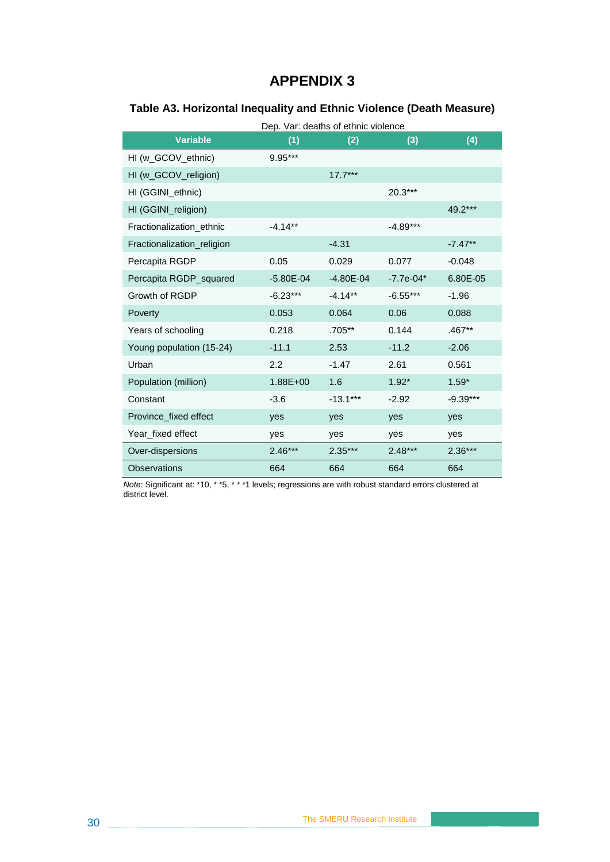### <span id="page-37-0"></span>**Table A3. Horizontal Inequality and Ethnic Violence (Death Measure)**

|                            | Dep. Var: deaths of ethnic violence |               |             |            |  |
|----------------------------|-------------------------------------|---------------|-------------|------------|--|
| <b>Variable</b>            | (1)                                 | (2)           | (3)         | (4)        |  |
| HI (w_GCOV_ethnic)         | 9.95***                             |               |             |            |  |
| HI (w_GCOV_religion)       |                                     | $17.7***$     |             |            |  |
| HI (GGINI_ethnic)          |                                     |               | 20.3***     |            |  |
| HI (GGINI_religion)        |                                     |               |             | 49.2***    |  |
| Fractionalization_ethnic   | $-4.14**$                           |               | $-4.89***$  |            |  |
| Fractionalization_religion |                                     | $-4.31$       |             | $-7.47**$  |  |
| Percapita RGDP             | 0.05                                | 0.029         | 0.077       | $-0.048$   |  |
| Percapita RGDP_squared     | $-5.80E - 04$                       | $-4.80E - 04$ | $-7.7e-04*$ | 6.80E-05   |  |
| Growth of RGDP             | $-6.23***$                          | $-4.14**$     | $-6.55***$  | $-1.96$    |  |
| Poverty                    | 0.053                               | 0.064         | 0.06        | 0.088      |  |
| Years of schooling         | 0.218                               | .705**        | 0.144       | $.467**$   |  |
| Young population (15-24)   | $-11.1$                             | 2.53          | $-11.2$     | $-2.06$    |  |
| Urban                      | 2.2                                 | $-1.47$       | 2.61        | 0.561      |  |
| Population (million)       | 1.88E+00                            | 1.6           | $1.92*$     | $1.59*$    |  |
| Constant                   | $-3.6$                              | $-13.1***$    | $-2.92$     | $-9.39***$ |  |
| Province fixed effect      | yes                                 | yes           | yes         | yes        |  |
| Year_fixed effect          | yes                                 | yes           | yes         | yes        |  |
| Over-dispersions           | $2.46***$                           | $2.35***$     | $2.48***$   | $2.36***$  |  |
| <b>Observations</b>        | 664                                 | 664           | 664         | 664        |  |

*Note*: Significant at: \*10, \* \*5, \* \* \*1 levels; regressions are with robust standard errors clustered at district level.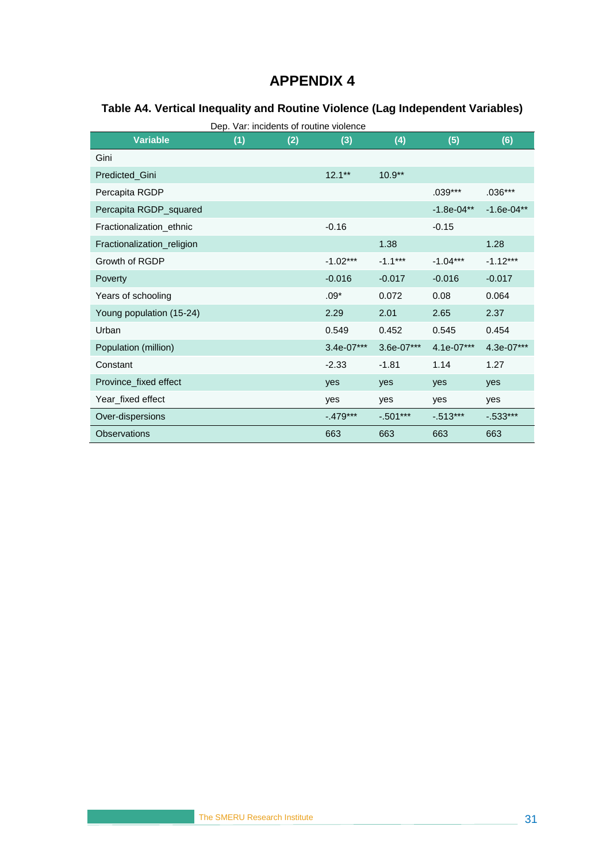### <span id="page-38-0"></span>**Table A4. Vertical Inequality and Routine Violence (Lag Independent Variables)**

|                            | Dep. Var: incidents of routine violence |     |              |              |              |              |
|----------------------------|-----------------------------------------|-----|--------------|--------------|--------------|--------------|
| <b>Variable</b>            | (1)                                     | (2) | (3)          | (4)          | (5)          | (6)          |
| Gini                       |                                         |     |              |              |              |              |
| Predicted Gini             |                                         |     | $12.1***$    | $10.9**$     |              |              |
| Percapita RGDP             |                                         |     |              |              | $.039***$    | $.036***$    |
| Percapita RGDP_squared     |                                         |     |              |              | $-1.8e-04**$ | $-1.6e-04**$ |
| Fractionalization ethnic   |                                         |     | $-0.16$      |              | $-0.15$      |              |
| Fractionalization_religion |                                         |     |              | 1.38         |              | 1.28         |
| Growth of RGDP             |                                         |     | $-1.02***$   | $-1.1***$    | $-1.04***$   | $-1.12***$   |
| Poverty                    |                                         |     | $-0.016$     | $-0.017$     | $-0.016$     | $-0.017$     |
| Years of schooling         |                                         |     | $.09*$       | 0.072        | 0.08         | 0.064        |
| Young population (15-24)   |                                         |     | 2.29         | 2.01         | 2.65         | 2.37         |
| Urban                      |                                         |     | 0.549        | 0.452        | 0.545        | 0.454        |
| Population (million)       |                                         |     | $3.4e-07***$ | $3.6e-07***$ | $4.1e-07***$ | 4.3e-07***   |
| Constant                   |                                         |     | $-2.33$      | $-1.81$      | 1.14         | 1.27         |
| Province_fixed effect      |                                         |     | yes          | yes          | yes          | yes          |
| Year_fixed effect          |                                         |     | yes          | yes          | yes          | yes          |
| Over-dispersions           |                                         |     | $-.479***$   | $-0.501***$  | $-0.513***$  | $-0.533***$  |
| <b>Observations</b>        |                                         |     | 663          | 663          | 663          | 663          |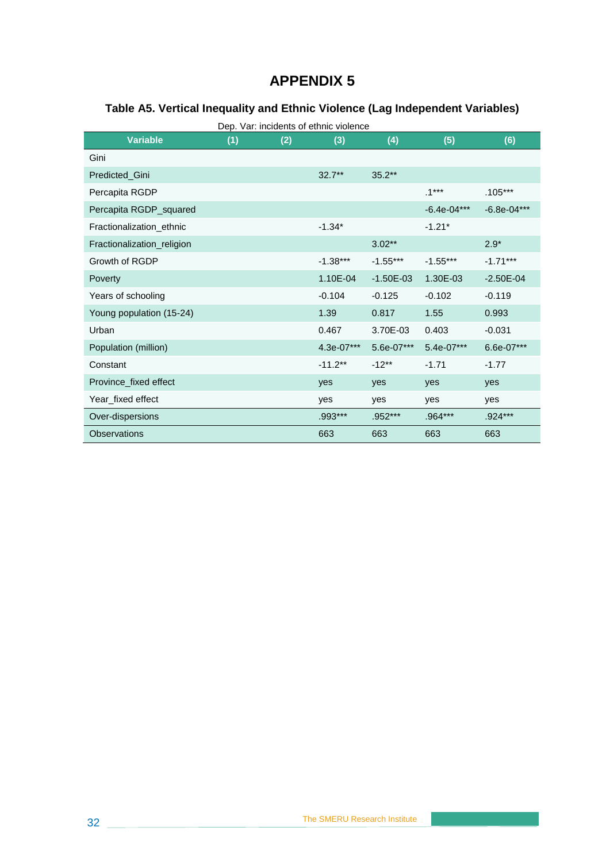#### <span id="page-39-0"></span>**Table A5. Vertical Inequality and Ethnic Violence (Lag Independent Variables)**

| <b>Variable</b>            | (1) | (2) | (3)        | (4)         | (5)           | (6)           |
|----------------------------|-----|-----|------------|-------------|---------------|---------------|
| Gini                       |     |     |            |             |               |               |
| Predicted_Gini             |     |     | $32.7***$  | $35.2***$   |               |               |
| Percapita RGDP             |     |     |            |             | $.1***$       | $.105***$     |
| Percapita RGDP_squared     |     |     |            |             | $-6.4e-04***$ | $-6.8e-04***$ |
| Fractionalization_ethnic   |     |     | $-1.34*$   |             | $-1.21*$      |               |
| Fractionalization_religion |     |     |            | $3.02***$   |               | $2.9*$        |
| Growth of RGDP             |     |     | $-1.38***$ | $-1.55***$  | $-1.55***$    | $-1.71***$    |
| Poverty                    |     |     | 1.10E-04   | $-1.50E-03$ | 1.30E-03      | $-2.50E - 04$ |
| Years of schooling         |     |     | $-0.104$   | $-0.125$    | $-0.102$      | $-0.119$      |
| Young population (15-24)   |     |     | 1.39       | 0.817       | 1.55          | 0.993         |
| Urban                      |     |     | 0.467      | 3.70E-03    | 0.403         | $-0.031$      |
| Population (million)       |     |     | 4.3e-07*** | 5.6e-07***  | 5.4e-07***    | 6.6e-07***    |
| Constant                   |     |     | $-11.2**$  | $-12**$     | $-1.71$       | $-1.77$       |
| Province_fixed effect      |     |     | yes        | yes         | yes           | yes           |
| Year_fixed effect          |     |     | yes        | yes         | yes           | yes           |
| Over-dispersions           |     |     | $.993***$  | $.952***$   | .964***       | $.924***$     |
| <b>Observations</b>        |     |     | 663        | 663         | 663           | 663           |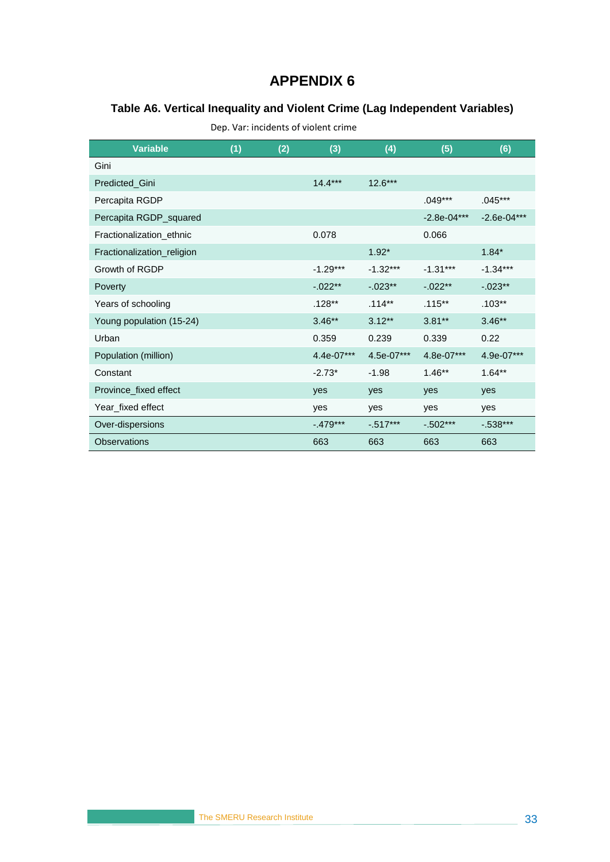#### <span id="page-40-0"></span>**Table A6. Vertical Inequality and Violent Crime (Lag Independent Variables)**

Dep. Var: incidents of violent crime

| <b>Variable</b>            | (1) | (2) | (3)        | (4)         | (5)           | (6)           |
|----------------------------|-----|-----|------------|-------------|---------------|---------------|
| Gini                       |     |     |            |             |               |               |
| Predicted_Gini             |     |     | $14.4***$  | $12.6***$   |               |               |
| Percapita RGDP             |     |     |            |             | .049***       | $.045***$     |
| Percapita RGDP_squared     |     |     |            |             | $-2.8e-04***$ | $-2.6e-04***$ |
| Fractionalization_ethnic   |     |     | 0.078      |             | 0.066         |               |
| Fractionalization_religion |     |     |            | $1.92*$     |               | $1.84*$       |
| Growth of RGDP             |     |     | $-1.29***$ | $-1.32***$  | $-1.31***$    | $-1.34***$    |
| Poverty                    |     |     | $-.022**$  | $-.023**$   | $-.022**$     | $-.023**$     |
| Years of schooling         |     |     | $.128**$   | $.114**$    | $.115***$     | $.103**$      |
| Young population (15-24)   |     |     | $3.46**$   | $3.12***$   | $3.81**$      | $3.46**$      |
| Urban                      |     |     | 0.359      | 0.239       | 0.339         | 0.22          |
| Population (million)       |     |     | 4.4e-07*** | 4.5e-07***  | 4.8e-07***    | 4.9e-07***    |
| Constant                   |     |     | $-2.73*$   | $-1.98$     | $1.46**$      | $1.64***$     |
| Province_fixed effect      |     |     | yes        | yes         | yes           | yes           |
| Year_fixed effect          |     |     | yes        | yes         | yes           | yes           |
| Over-dispersions           |     |     | $-.479***$ | $-0.517***$ | $-0.502***$   | $-0.538***$   |
| Observations               |     |     | 663        | 663         | 663           | 663           |